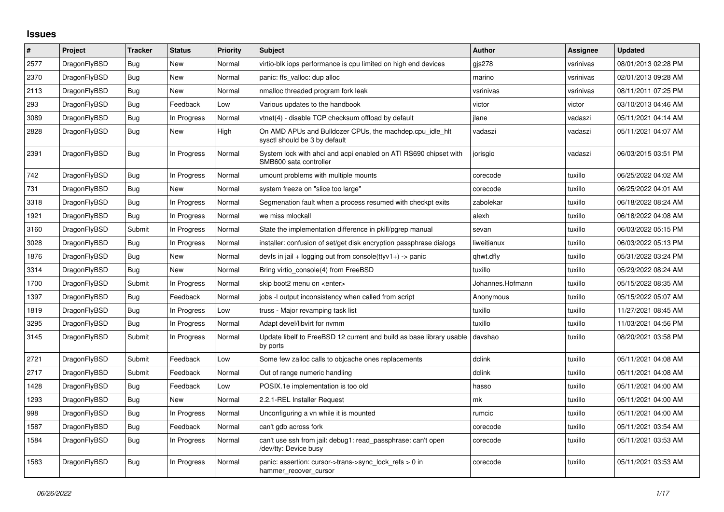## **Issues**

| $\vert$ # | Project      | <b>Tracker</b> | <b>Status</b> | Priority | <b>Subject</b>                                                                             | <b>Author</b>    | Assignee  | <b>Updated</b>      |
|-----------|--------------|----------------|---------------|----------|--------------------------------------------------------------------------------------------|------------------|-----------|---------------------|
| 2577      | DragonFlyBSD | <b>Bug</b>     | <b>New</b>    | Normal   | virtio-blk iops performance is cpu limited on high end devices                             | gjs278           | vsrinivas | 08/01/2013 02:28 PM |
| 2370      | DragonFlyBSD | Bug            | New           | Normal   | panic: ffs valloc: dup alloc                                                               | marino           | vsrinivas | 02/01/2013 09:28 AM |
| 2113      | DragonFlyBSD | Bug            | New           | Normal   | nmalloc threaded program fork leak                                                         | vsrinivas        | vsrinivas | 08/11/2011 07:25 PM |
| 293       | DragonFlyBSD | <b>Bug</b>     | Feedback      | Low      | Various updates to the handbook                                                            | victor           | victor    | 03/10/2013 04:46 AM |
| 3089      | DragonFlyBSD | Bug            | In Progress   | Normal   | vtnet(4) - disable TCP checksum offload by default                                         | ilane            | vadaszi   | 05/11/2021 04:14 AM |
| 2828      | DragonFlyBSD | Bug            | New           | High     | On AMD APUs and Bulldozer CPUs, the machdep.cpu idle hit<br>sysctl should be 3 by default  | vadaszi          | vadaszi   | 05/11/2021 04:07 AM |
| 2391      | DragonFlyBSD | Bug            | In Progress   | Normal   | System lock with ahci and acpi enabled on ATI RS690 chipset with<br>SMB600 sata controller | jorisgio         | vadaszi   | 06/03/2015 03:51 PM |
| 742       | DragonFlyBSD | <b>Bug</b>     | In Progress   | Normal   | umount problems with multiple mounts                                                       | corecode         | tuxillo   | 06/25/2022 04:02 AM |
| 731       | DragonFlyBSD | Bug            | New           | Normal   | system freeze on "slice too large"                                                         | corecode         | tuxillo   | 06/25/2022 04:01 AM |
| 3318      | DragonFlyBSD | Bug            | In Progress   | Normal   | Segmenation fault when a process resumed with checkpt exits                                | zabolekar        | tuxillo   | 06/18/2022 08:24 AM |
| 1921      | DragonFlyBSD | Bug            | In Progress   | Normal   | we miss mlockall                                                                           | alexh            | tuxillo   | 06/18/2022 04:08 AM |
| 3160      | DragonFlyBSD | Submit         | In Progress   | Normal   | State the implementation difference in pkill/pgrep manual                                  | sevan            | tuxillo   | 06/03/2022 05:15 PM |
| 3028      | DragonFlyBSD | Bug            | In Progress   | Normal   | installer: confusion of set/get disk encryption passphrase dialogs                         | liweitianux      | tuxillo   | 06/03/2022 05:13 PM |
| 1876      | DragonFlyBSD | Bug            | New           | Normal   | devfs in jail + logging out from console(ttyv1+) -> panic                                  | qhwt.dfly        | tuxillo   | 05/31/2022 03:24 PM |
| 3314      | DragonFlyBSD | Bug            | New           | Normal   | Bring virtio_console(4) from FreeBSD                                                       | tuxillo          | tuxillo   | 05/29/2022 08:24 AM |
| 1700      | DragonFlyBSD | Submit         | In Progress   | Normal   | skip boot2 menu on <enter></enter>                                                         | Johannes.Hofmann | tuxillo   | 05/15/2022 08:35 AM |
| 1397      | DragonFlyBSD | Bug            | Feedback      | Normal   | jobs -I output inconsistency when called from script                                       | Anonymous        | tuxillo   | 05/15/2022 05:07 AM |
| 1819      | DragonFlyBSD | Bug            | In Progress   | Low      | truss - Major revamping task list                                                          | tuxillo          | tuxillo   | 11/27/2021 08:45 AM |
| 3295      | DragonFlyBSD | <b>Bug</b>     | In Progress   | Normal   | Adapt devel/libvirt for nvmm                                                               | tuxillo          | tuxillo   | 11/03/2021 04:56 PM |
| 3145      | DragonFlyBSD | Submit         | In Progress   | Normal   | Update libelf to FreeBSD 12 current and build as base library usable<br>by ports           | davshao          | tuxillo   | 08/20/2021 03:58 PM |
| 2721      | DragonFlyBSD | Submit         | Feedback      | Low      | Some few zalloc calls to objcache ones replacements                                        | dclink           | tuxillo   | 05/11/2021 04:08 AM |
| 2717      | DragonFlyBSD | Submit         | Feedback      | Normal   | Out of range numeric handling                                                              | dclink           | tuxillo   | 05/11/2021 04:08 AM |
| 1428      | DragonFlyBSD | Bug            | Feedback      | Low      | POSIX.1e implementation is too old                                                         | hasso            | tuxillo   | 05/11/2021 04:00 AM |
| 1293      | DragonFlyBSD | Bug            | New           | Normal   | 2.2.1-REL Installer Request                                                                | mk               | tuxillo   | 05/11/2021 04:00 AM |
| 998       | DragonFlyBSD | Bug            | In Progress   | Normal   | Unconfiguring a vn while it is mounted                                                     | rumcic           | tuxillo   | 05/11/2021 04:00 AM |
| 1587      | DragonFlyBSD | Bug            | Feedback      | Normal   | can't gdb across fork                                                                      | corecode         | tuxillo   | 05/11/2021 03:54 AM |
| 1584      | DragonFlyBSD | Bug            | In Progress   | Normal   | can't use ssh from jail: debug1: read passphrase: can't open<br>/dev/tty: Device busy      | corecode         | tuxillo   | 05/11/2021 03:53 AM |
| 1583      | DragonFlyBSD | Bug            | In Progress   | Normal   | panic: assertion: cursor->trans->sync_lock_refs > 0 in<br>hammer recover cursor            | corecode         | tuxillo   | 05/11/2021 03:53 AM |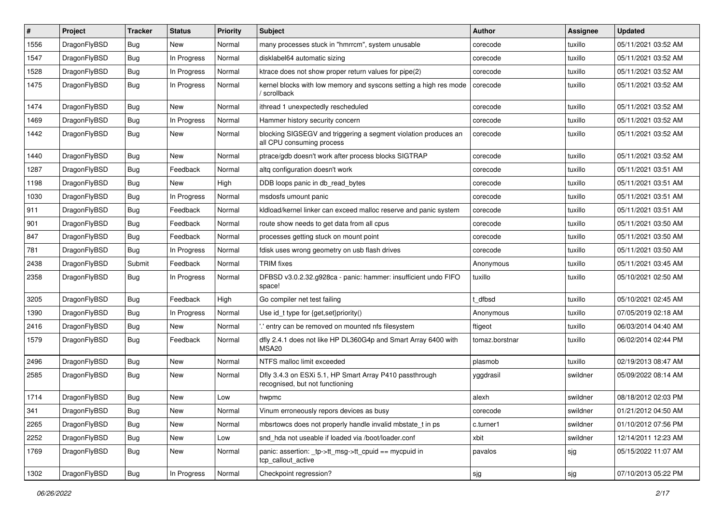| #    | Project      | <b>Tracker</b> | <b>Status</b> | <b>Priority</b> | <b>Subject</b>                                                                               | <b>Author</b>  | Assignee | <b>Updated</b>      |
|------|--------------|----------------|---------------|-----------------|----------------------------------------------------------------------------------------------|----------------|----------|---------------------|
| 1556 | DragonFlyBSD | <b>Bug</b>     | New           | Normal          | many processes stuck in "hmrrcm", system unusable                                            | corecode       | tuxillo  | 05/11/2021 03:52 AM |
| 1547 | DragonFlyBSD | <b>Bug</b>     | In Progress   | Normal          | disklabel64 automatic sizing                                                                 | corecode       | tuxillo  | 05/11/2021 03:52 AM |
| 1528 | DragonFlyBSD | <b>Bug</b>     | In Progress   | Normal          | ktrace does not show proper return values for pipe(2)                                        | corecode       | tuxillo  | 05/11/2021 03:52 AM |
| 1475 | DragonFlyBSD | <b>Bug</b>     | In Progress   | Normal          | kernel blocks with low memory and syscons setting a high res mode<br>' scrollback            | corecode       | tuxillo  | 05/11/2021 03:52 AM |
| 1474 | DragonFlyBSD | Bug            | New           | Normal          | ithread 1 unexpectedly rescheduled                                                           | corecode       | tuxillo  | 05/11/2021 03:52 AM |
| 1469 | DragonFlyBSD | <b>Bug</b>     | In Progress   | Normal          | Hammer history security concern                                                              | corecode       | tuxillo  | 05/11/2021 03:52 AM |
| 1442 | DragonFlyBSD | <b>Bug</b>     | New           | Normal          | blocking SIGSEGV and triggering a segment violation produces an<br>all CPU consuming process | corecode       | tuxillo  | 05/11/2021 03:52 AM |
| 1440 | DragonFlyBSD | <b>Bug</b>     | New           | Normal          | ptrace/gdb doesn't work after process blocks SIGTRAP                                         | corecode       | tuxillo  | 05/11/2021 03:52 AM |
| 1287 | DragonFlyBSD | <b>Bug</b>     | Feedback      | Normal          | altg configuration doesn't work                                                              | corecode       | tuxillo  | 05/11/2021 03:51 AM |
| 1198 | DragonFlyBSD | Bug            | New           | High            | DDB loops panic in db_read_bytes                                                             | corecode       | tuxillo  | 05/11/2021 03:51 AM |
| 1030 | DragonFlyBSD | Bug            | In Progress   | Normal          | msdosfs umount panic                                                                         | corecode       | tuxillo  | 05/11/2021 03:51 AM |
| 911  | DragonFlyBSD | <b>Bug</b>     | Feedback      | Normal          | kldload/kernel linker can exceed malloc reserve and panic system                             | corecode       | tuxillo  | 05/11/2021 03:51 AM |
| 901  | DragonFlyBSD | <b>Bug</b>     | Feedback      | Normal          | route show needs to get data from all cpus                                                   | corecode       | tuxillo  | 05/11/2021 03:50 AM |
| 847  | DragonFlyBSD | Bug            | Feedback      | Normal          | processes getting stuck on mount point                                                       | corecode       | tuxillo  | 05/11/2021 03:50 AM |
| 781  | DragonFlyBSD | Bug            | In Progress   | Normal          | fdisk uses wrong geometry on usb flash drives                                                | corecode       | tuxillo  | 05/11/2021 03:50 AM |
| 2438 | DragonFlyBSD | Submit         | Feedback      | Normal          | <b>TRIM</b> fixes                                                                            | Anonymous      | tuxillo  | 05/11/2021 03:45 AM |
| 2358 | DragonFlyBSD | Bug            | In Progress   | Normal          | DFBSD v3.0.2.32.g928ca - panic: hammer: insufficient undo FIFO<br>space!                     | tuxillo        | tuxillo  | 05/10/2021 02:50 AM |
| 3205 | DragonFlyBSD | Bug            | Feedback      | High            | Go compiler net test failing                                                                 | t dfbsd        | tuxillo  | 05/10/2021 02:45 AM |
| 1390 | DragonFlyBSD | <b>Bug</b>     | In Progress   | Normal          | Use id_t type for {get,set}priority()                                                        | Anonymous      | tuxillo  | 07/05/2019 02:18 AM |
| 2416 | DragonFlyBSD | <b>Bug</b>     | New           | Normal          | ".' entry can be removed on mounted nfs filesystem                                           | ftigeot        | tuxillo  | 06/03/2014 04:40 AM |
| 1579 | DragonFlyBSD | <b>Bug</b>     | Feedback      | Normal          | dfly 2.4.1 does not like HP DL360G4p and Smart Array 6400 with<br>MSA <sub>20</sub>          | tomaz.borstnar | tuxillo  | 06/02/2014 02:44 PM |
| 2496 | DragonFlyBSD | <b>Bug</b>     | <b>New</b>    | Normal          | NTFS malloc limit exceeded                                                                   | plasmob        | tuxillo  | 02/19/2013 08:47 AM |
| 2585 | DragonFlyBSD | <b>Bug</b>     | New           | Normal          | Dfly 3.4.3 on ESXi 5.1, HP Smart Array P410 passthrough<br>recognised, but not functioning   | yggdrasil      | swildner | 05/09/2022 08:14 AM |
| 1714 | DragonFlyBSD | <b>Bug</b>     | New           | Low             | hwpmc                                                                                        | alexh          | swildner | 08/18/2012 02:03 PM |
| 341  | DragonFlyBSD | <b>Bug</b>     | New           | Normal          | Vinum erroneously repors devices as busy                                                     | corecode       | swildner | 01/21/2012 04:50 AM |
| 2265 | DragonFlyBSD | <b>Bug</b>     | New           | Normal          | mbsrtowcs does not properly handle invalid mbstate t in ps                                   | c.turner1      | swildner | 01/10/2012 07:56 PM |
| 2252 | DragonFlyBSD | <b>Bug</b>     | New           | Low             | snd_hda not useable if loaded via /boot/loader.conf                                          | xbit           | swildner | 12/14/2011 12:23 AM |
| 1769 | DragonFlyBSD | Bug            | New           | Normal          | panic: assertion: tp->tt_msg->tt_cpuid == mycpuid in<br>tcp_callout_active                   | pavalos        | sjg      | 05/15/2022 11:07 AM |
| 1302 | DragonFlyBSD | <b>Bug</b>     | In Progress   | Normal          | Checkpoint regression?                                                                       | sjg            | sjg      | 07/10/2013 05:22 PM |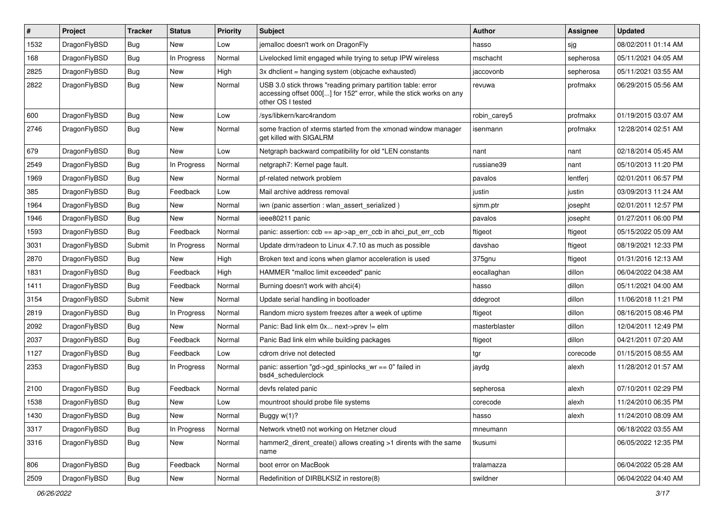| ∦    | Project      | <b>Tracker</b> | <b>Status</b> | <b>Priority</b> | Subject                                                                                                                                                  | <b>Author</b> | Assignee  | <b>Updated</b>      |
|------|--------------|----------------|---------------|-----------------|----------------------------------------------------------------------------------------------------------------------------------------------------------|---------------|-----------|---------------------|
| 1532 | DragonFlyBSD | Bug            | New           | Low             | jemalloc doesn't work on DragonFly                                                                                                                       | hasso         | sjg       | 08/02/2011 01:14 AM |
| 168  | DragonFlyBSD | <b>Bug</b>     | In Progress   | Normal          | Livelocked limit engaged while trying to setup IPW wireless                                                                                              | mschacht      | sepherosa | 05/11/2021 04:05 AM |
| 2825 | DragonFlyBSD | <b>Bug</b>     | New           | High            | 3x dhclient = hanging system (objcache exhausted)                                                                                                        | jaccovonb     | sepherosa | 05/11/2021 03:55 AM |
| 2822 | DragonFlyBSD | Bug            | New           | Normal          | USB 3.0 stick throws "reading primary partition table: error<br>accessing offset 000[] for 152" error, while the stick works on any<br>other OS I tested | revuwa        | profmakx  | 06/29/2015 05:56 AM |
| 600  | DragonFlyBSD | <b>Bug</b>     | New           | Low             | /sys/libkern/karc4random                                                                                                                                 | robin carey5  | profmakx  | 01/19/2015 03:07 AM |
| 2746 | DragonFlyBSD | <b>Bug</b>     | New           | Normal          | some fraction of xterms started from the xmonad window manager<br>get killed with SIGALRM                                                                | isenmann      | profmakx  | 12/28/2014 02:51 AM |
| 679  | DragonFlyBSD | <b>Bug</b>     | <b>New</b>    | Low             | Netgraph backward compatibility for old *LEN constants                                                                                                   | nant          | nant      | 02/18/2014 05:45 AM |
| 2549 | DragonFlyBSD | <b>Bug</b>     | In Progress   | Normal          | netgraph7: Kernel page fault.                                                                                                                            | russiane39    | nant      | 05/10/2013 11:20 PM |
| 1969 | DragonFlyBSD | <b>Bug</b>     | New           | Normal          | pf-related network problem                                                                                                                               | pavalos       | lentferj  | 02/01/2011 06:57 PM |
| 385  | DragonFlyBSD | <b>Bug</b>     | Feedback      | Low             | Mail archive address removal                                                                                                                             | justin        | justin    | 03/09/2013 11:24 AM |
| 1964 | DragonFlyBSD | <b>Bug</b>     | New           | Normal          | iwn (panic assertion : wlan assert serialized)                                                                                                           | sjmm.ptr      | josepht   | 02/01/2011 12:57 PM |
| 1946 | DragonFlyBSD | <b>Bug</b>     | New           | Normal          | ieee80211 panic                                                                                                                                          | pavalos       | josepht   | 01/27/2011 06:00 PM |
| 1593 | DragonFlyBSD | <b>Bug</b>     | Feedback      | Normal          | panic: assertion: $ccb == ap > ap$ err $ccb$ in ahci put err $ccb$                                                                                       | ftigeot       | ftigeot   | 05/15/2022 05:09 AM |
| 3031 | DragonFlyBSD | Submit         | In Progress   | Normal          | Update drm/radeon to Linux 4.7.10 as much as possible                                                                                                    | davshao       | ftigeot   | 08/19/2021 12:33 PM |
| 2870 | DragonFlyBSD | <b>Bug</b>     | New           | High            | Broken text and icons when glamor acceleration is used                                                                                                   | 375gnu        | ftigeot   | 01/31/2016 12:13 AM |
| 1831 | DragonFlyBSD | <b>Bug</b>     | Feedback      | High            | HAMMER "malloc limit exceeded" panic                                                                                                                     | eocallaghan   | dillon    | 06/04/2022 04:38 AM |
| 1411 | DragonFlyBSD | Bug            | Feedback      | Normal          | Burning doesn't work with ahci(4)                                                                                                                        | hasso         | dillon    | 05/11/2021 04:00 AM |
| 3154 | DragonFlyBSD | Submit         | New           | Normal          | Update serial handling in bootloader                                                                                                                     | ddegroot      | dillon    | 11/06/2018 11:21 PM |
| 2819 | DragonFlyBSD | <b>Bug</b>     | In Progress   | Normal          | Random micro system freezes after a week of uptime                                                                                                       | ftigeot       | dillon    | 08/16/2015 08:46 PM |
| 2092 | DragonFlyBSD | Bug            | New           | Normal          | Panic: Bad link elm 0x next->prev != elm                                                                                                                 | masterblaster | dillon    | 12/04/2011 12:49 PM |
| 2037 | DragonFlyBSD | <b>Bug</b>     | Feedback      | Normal          | Panic Bad link elm while building packages                                                                                                               | ftigeot       | dillon    | 04/21/2011 07:20 AM |
| 1127 | DragonFlyBSD | <b>Bug</b>     | Feedback      | Low             | cdrom drive not detected                                                                                                                                 | tgr           | corecode  | 01/15/2015 08:55 AM |
| 2353 | DragonFlyBSD | <b>Bug</b>     | In Progress   | Normal          | panic: assertion "gd->gd_spinlocks_wr == 0" failed in<br>bsd4_schedulerclock                                                                             | jaydg         | alexh     | 11/28/2012 01:57 AM |
| 2100 | DragonFlyBSD | <b>Bug</b>     | Feedback      | Normal          | devfs related panic                                                                                                                                      | sepherosa     | alexh     | 07/10/2011 02:29 PM |
| 1538 | DragonFlyBSD | <b>Bug</b>     | New           | Low             | mountroot should probe file systems                                                                                                                      | corecode      | alexh     | 11/24/2010 06:35 PM |
| 1430 | DragonFlyBSD | <b>Bug</b>     | New           | Normal          | Buggy w(1)?                                                                                                                                              | hasso         | alexh     | 11/24/2010 08:09 AM |
| 3317 | DragonFlyBSD | <b>Bug</b>     | In Progress   | Normal          | Network vtnet0 not working on Hetzner cloud                                                                                                              | mneumann      |           | 06/18/2022 03:55 AM |
| 3316 | DragonFlyBSD | <b>Bug</b>     | New           | Normal          | hammer2_dirent_create() allows creating >1 dirents with the same<br>name                                                                                 | tkusumi       |           | 06/05/2022 12:35 PM |
| 806  | DragonFlyBSD | <b>Bug</b>     | Feedback      | Normal          | boot error on MacBook                                                                                                                                    | tralamazza    |           | 06/04/2022 05:28 AM |
| 2509 | DragonFlyBSD | <b>Bug</b>     | New           | Normal          | Redefinition of DIRBLKSIZ in restore(8)                                                                                                                  | swildner      |           | 06/04/2022 04:40 AM |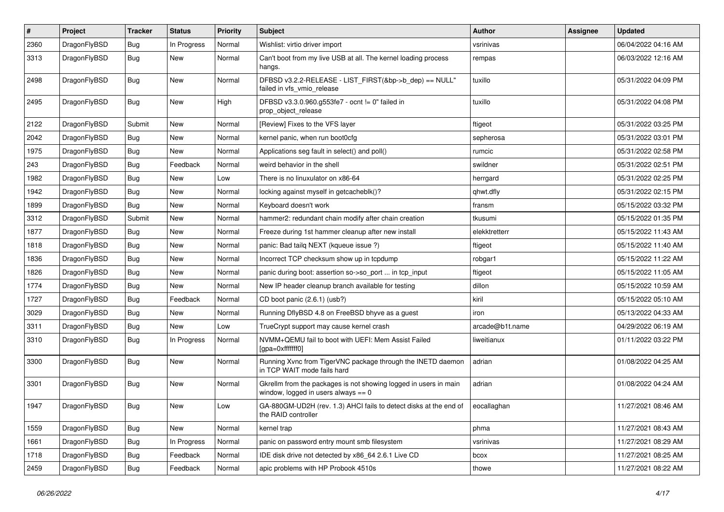| $\sharp$ | Project      | <b>Tracker</b> | <b>Status</b> | <b>Priority</b> | Subject                                                                                                   | Author          | <b>Assignee</b> | <b>Updated</b>      |
|----------|--------------|----------------|---------------|-----------------|-----------------------------------------------------------------------------------------------------------|-----------------|-----------------|---------------------|
| 2360     | DragonFlyBSD | Bug            | In Progress   | Normal          | Wishlist: virtio driver import                                                                            | vsrinivas       |                 | 06/04/2022 04:16 AM |
| 3313     | DragonFlyBSD | <b>Bug</b>     | <b>New</b>    | Normal          | Can't boot from my live USB at all. The kernel loading process<br>hangs.                                  | rempas          |                 | 06/03/2022 12:16 AM |
| 2498     | DragonFlyBSD | Bug            | New           | Normal          | DFBSD v3.2.2-RELEASE - LIST_FIRST(&bp->b_dep) == NULL"<br>failed in vfs vmio release                      | tuxillo         |                 | 05/31/2022 04:09 PM |
| 2495     | DragonFlyBSD | Bug            | New           | High            | DFBSD v3.3.0.960.g553fe7 - ocnt != 0" failed in<br>prop_object_release                                    | tuxillo         |                 | 05/31/2022 04:08 PM |
| 2122     | DragonFlyBSD | Submit         | <b>New</b>    | Normal          | [Review] Fixes to the VFS layer                                                                           | ftigeot         |                 | 05/31/2022 03:25 PM |
| 2042     | DragonFlyBSD | Bug            | New           | Normal          | kernel panic, when run boot0cfg                                                                           | sepherosa       |                 | 05/31/2022 03:01 PM |
| 1975     | DragonFlyBSD | Bug            | <b>New</b>    | Normal          | Applications seg fault in select() and poll()                                                             | rumcic          |                 | 05/31/2022 02:58 PM |
| 243      | DragonFlyBSD | <b>Bug</b>     | Feedback      | Normal          | weird behavior in the shell                                                                               | swildner        |                 | 05/31/2022 02:51 PM |
| 1982     | DragonFlyBSD | Bug            | New           | Low             | There is no linuxulator on x86-64                                                                         | herrgard        |                 | 05/31/2022 02:25 PM |
| 1942     | DragonFlyBSD | Bug            | <b>New</b>    | Normal          | locking against myself in getcacheblk()?                                                                  | qhwt.dfly       |                 | 05/31/2022 02:15 PM |
| 1899     | DragonFlyBSD | Bug            | <b>New</b>    | Normal          | Keyboard doesn't work                                                                                     | fransm          |                 | 05/15/2022 03:32 PM |
| 3312     | DragonFlyBSD | Submit         | New           | Normal          | hammer2: redundant chain modify after chain creation                                                      | tkusumi         |                 | 05/15/2022 01:35 PM |
| 1877     | DragonFlyBSD | <b>Bug</b>     | New           | Normal          | Freeze during 1st hammer cleanup after new install                                                        | elekktretterr   |                 | 05/15/2022 11:43 AM |
| 1818     | DragonFlyBSD | Bug            | New           | Normal          | panic: Bad tailg NEXT (kqueue issue ?)                                                                    | ftigeot         |                 | 05/15/2022 11:40 AM |
| 1836     | DragonFlyBSD | Bug            | New           | Normal          | Incorrect TCP checksum show up in tcpdump                                                                 | robgar1         |                 | 05/15/2022 11:22 AM |
| 1826     | DragonFlyBSD | Bug            | New           | Normal          | panic during boot: assertion so->so_port  in tcp_input                                                    | ftigeot         |                 | 05/15/2022 11:05 AM |
| 1774     | DragonFlyBSD | Bug            | <b>New</b>    | Normal          | New IP header cleanup branch available for testing                                                        | dillon          |                 | 05/15/2022 10:59 AM |
| 1727     | DragonFlyBSD | <b>Bug</b>     | Feedback      | Normal          | CD boot panic (2.6.1) (usb?)                                                                              | kiril           |                 | 05/15/2022 05:10 AM |
| 3029     | DragonFlyBSD | Bug            | New           | Normal          | Running DflyBSD 4.8 on FreeBSD bhyve as a guest                                                           | iron            |                 | 05/13/2022 04:33 AM |
| 3311     | DragonFlyBSD | Bug            | New           | Low             | TrueCrypt support may cause kernel crash                                                                  | arcade@b1t.name |                 | 04/29/2022 06:19 AM |
| 3310     | DragonFlyBSD | <b>Bug</b>     | In Progress   | Normal          | NVMM+QEMU fail to boot with UEFI: Mem Assist Failed<br>[gpa=0xfffffff0]                                   | liweitianux     |                 | 01/11/2022 03:22 PM |
| 3300     | DragonFlyBSD | <b>Bug</b>     | New           | Normal          | Running Xvnc from TigerVNC package through the INETD daemon<br>in TCP WAIT mode fails hard                | adrian          |                 | 01/08/2022 04:25 AM |
| 3301     | DragonFlyBSD | Bug            | <b>New</b>    | Normal          | Gkrellm from the packages is not showing logged in users in main<br>window, logged in users always $== 0$ | adrian          |                 | 01/08/2022 04:24 AM |
| 1947     | DragonFlyBSD | Bug            | <b>New</b>    | Low             | GA-880GM-UD2H (rev. 1.3) AHCI fails to detect disks at the end of<br>the RAID controller                  | eocallaghan     |                 | 11/27/2021 08:46 AM |
| 1559     | DragonFlyBSD | <b>Bug</b>     | New           | Normal          | kernel trap                                                                                               | phma            |                 | 11/27/2021 08:43 AM |
| 1661     | DragonFlyBSD | Bug            | In Progress   | Normal          | panic on password entry mount smb filesystem                                                              | vsrinivas       |                 | 11/27/2021 08:29 AM |
| 1718     | DragonFlyBSD | <b>Bug</b>     | Feedback      | Normal          | IDE disk drive not detected by x86_64 2.6.1 Live CD                                                       | bcox            |                 | 11/27/2021 08:25 AM |
| 2459     | DragonFlyBSD | <b>Bug</b>     | Feedback      | Normal          | apic problems with HP Probook 4510s                                                                       | thowe           |                 | 11/27/2021 08:22 AM |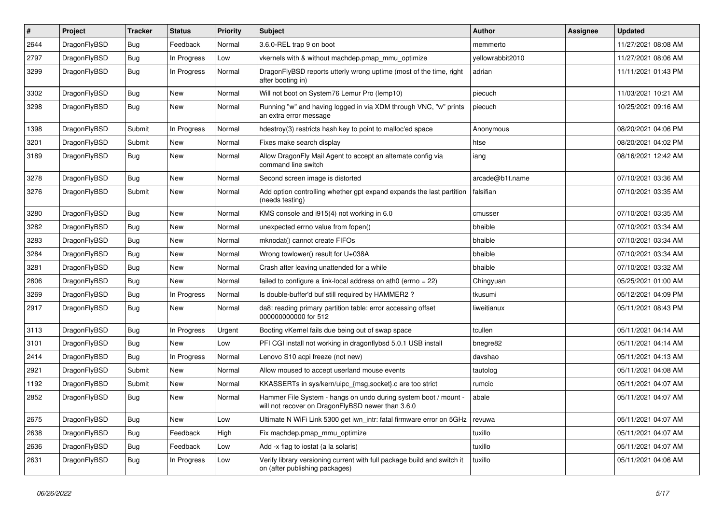| $\vert$ # | Project      | <b>Tracker</b> | <b>Status</b> | <b>Priority</b> | Subject                                                                                                              | Author           | Assignee | <b>Updated</b>      |
|-----------|--------------|----------------|---------------|-----------------|----------------------------------------------------------------------------------------------------------------------|------------------|----------|---------------------|
| 2644      | DragonFlyBSD | <b>Bug</b>     | Feedback      | Normal          | 3.6.0-REL trap 9 on boot                                                                                             | memmerto         |          | 11/27/2021 08:08 AM |
| 2797      | DragonFlyBSD | Bug            | In Progress   | Low             | vkernels with & without machdep.pmap_mmu_optimize                                                                    | yellowrabbit2010 |          | 11/27/2021 08:06 AM |
| 3299      | DragonFlyBSD | <b>Bug</b>     | In Progress   | Normal          | DragonFlyBSD reports utterly wrong uptime (most of the time, right<br>after booting in)                              | adrian           |          | 11/11/2021 01:43 PM |
| 3302      | DragonFlyBSD | Bug            | New           | Normal          | Will not boot on System76 Lemur Pro (lemp10)                                                                         | piecuch          |          | 11/03/2021 10:21 AM |
| 3298      | DragonFlyBSD | <b>Bug</b>     | New           | Normal          | Running "w" and having logged in via XDM through VNC, "w" prints<br>an extra error message                           | piecuch          |          | 10/25/2021 09:16 AM |
| 1398      | DragonFlyBSD | Submit         | In Progress   | Normal          | hdestroy(3) restricts hash key to point to malloc'ed space                                                           | Anonymous        |          | 08/20/2021 04:06 PM |
| 3201      | DragonFlyBSD | Submit         | New           | Normal          | Fixes make search display                                                                                            | htse             |          | 08/20/2021 04:02 PM |
| 3189      | DragonFlyBSD | Bug            | New           | Normal          | Allow DragonFly Mail Agent to accept an alternate config via<br>command line switch                                  | iang             |          | 08/16/2021 12:42 AM |
| 3278      | DragonFlyBSD | Bug            | <b>New</b>    | Normal          | Second screen image is distorted                                                                                     | arcade@b1t.name  |          | 07/10/2021 03:36 AM |
| 3276      | DragonFlyBSD | Submit         | New           | Normal          | Add option controlling whether gpt expand expands the last partition<br>(needs testina)                              | falsifian        |          | 07/10/2021 03:35 AM |
| 3280      | DragonFlyBSD | Bug            | New           | Normal          | KMS console and i915(4) not working in 6.0                                                                           | cmusser          |          | 07/10/2021 03:35 AM |
| 3282      | DragonFlyBSD | <b>Bug</b>     | New           | Normal          | unexpected errno value from fopen()                                                                                  | bhaible          |          | 07/10/2021 03:34 AM |
| 3283      | DragonFlyBSD | <b>Bug</b>     | <b>New</b>    | Normal          | mknodat() cannot create FIFOs                                                                                        | bhaible          |          | 07/10/2021 03:34 AM |
| 3284      | DragonFlyBSD | Bug            | <b>New</b>    | Normal          | Wrong towlower() result for U+038A                                                                                   | bhaible          |          | 07/10/2021 03:34 AM |
| 3281      | DragonFlyBSD | <b>Bug</b>     | <b>New</b>    | Normal          | Crash after leaving unattended for a while                                                                           | bhaible          |          | 07/10/2021 03:32 AM |
| 2806      | DragonFlyBSD | <b>Bug</b>     | New           | Normal          | failed to configure a link-local address on ath0 (errno = 22)                                                        | Chingyuan        |          | 05/25/2021 01:00 AM |
| 3269      | DragonFlyBSD | Bug            | In Progress   | Normal          | Is double-buffer'd buf still required by HAMMER2 ?                                                                   | tkusumi          |          | 05/12/2021 04:09 PM |
| 2917      | DragonFlyBSD | Bug            | New           | Normal          | da8: reading primary partition table: error accessing offset<br>000000000000 for 512                                 | liweitianux      |          | 05/11/2021 08:43 PM |
| 3113      | DragonFlyBSD | <b>Bug</b>     | In Progress   | Urgent          | Booting vKernel fails due being out of swap space                                                                    | tcullen          |          | 05/11/2021 04:14 AM |
| 3101      | DragonFlyBSD | Bug            | <b>New</b>    | Low             | PFI CGI install not working in dragonflybsd 5.0.1 USB install                                                        | bnegre82         |          | 05/11/2021 04:14 AM |
| 2414      | DragonFlyBSD | Bug            | In Progress   | Normal          | Lenovo S10 acpi freeze (not new)                                                                                     | davshao          |          | 05/11/2021 04:13 AM |
| 2921      | DragonFlyBSD | Submit         | New           | Normal          | Allow moused to accept userland mouse events                                                                         | tautolog         |          | 05/11/2021 04:08 AM |
| 1192      | DragonFlyBSD | Submit         | New           | Normal          | KKASSERTs in sys/kern/uipc_{msg,socket}.c are too strict                                                             | rumcic           |          | 05/11/2021 04:07 AM |
| 2852      | DragonFlyBSD | Bug            | New           | Normal          | Hammer File System - hangs on undo during system boot / mount -<br>will not recover on DragonFlyBSD newer than 3.6.0 | abale            |          | 05/11/2021 04:07 AM |
| 2675      | DragonFlyBSD | <b>Bug</b>     | New           | Low             | Ultimate N WiFi Link 5300 get iwn_intr: fatal firmware error on 5GHz                                                 | revuwa           |          | 05/11/2021 04:07 AM |
| 2638      | DragonFlyBSD | Bug            | Feedback      | High            | Fix machdep.pmap_mmu_optimize                                                                                        | tuxillo          |          | 05/11/2021 04:07 AM |
| 2636      | DragonFlyBSD | <b>Bug</b>     | Feedback      | Low             | Add -x flag to iostat (a la solaris)                                                                                 | tuxillo          |          | 05/11/2021 04:07 AM |
| 2631      | DragonFlyBSD | <b>Bug</b>     | In Progress   | Low             | Verify library versioning current with full package build and switch it<br>on (after publishing packages)            | tuxillo          |          | 05/11/2021 04:06 AM |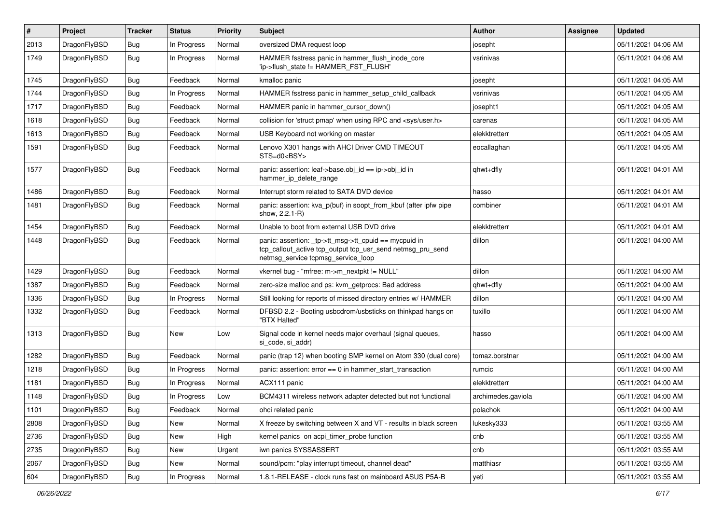| #    | Project      | <b>Tracker</b> | <b>Status</b> | <b>Priority</b> | <b>Subject</b>                                                                                                                                            | Author             | Assignee | <b>Updated</b>      |
|------|--------------|----------------|---------------|-----------------|-----------------------------------------------------------------------------------------------------------------------------------------------------------|--------------------|----------|---------------------|
| 2013 | DragonFlyBSD | <b>Bug</b>     | In Progress   | Normal          | oversized DMA request loop                                                                                                                                | josepht            |          | 05/11/2021 04:06 AM |
| 1749 | DragonFlyBSD | Bug            | In Progress   | Normal          | HAMMER fsstress panic in hammer_flush_inode_core<br>'ip->flush_state != HAMMER_FST_FLUSH'                                                                 | vsrinivas          |          | 05/11/2021 04:06 AM |
| 1745 | DragonFlyBSD | Bug            | Feedback      | Normal          | kmalloc panic                                                                                                                                             | josepht            |          | 05/11/2021 04:05 AM |
| 1744 | DragonFlyBSD | <b>Bug</b>     | In Progress   | Normal          | HAMMER fsstress panic in hammer setup child callback                                                                                                      | vsrinivas          |          | 05/11/2021 04:05 AM |
| 1717 | DragonFlyBSD | <b>Bug</b>     | Feedback      | Normal          | HAMMER panic in hammer cursor down()                                                                                                                      | josepht1           |          | 05/11/2021 04:05 AM |
| 1618 | DragonFlyBSD | Bug            | Feedback      | Normal          | collision for 'struct pmap' when using RPC and <sys user.h=""></sys>                                                                                      | carenas            |          | 05/11/2021 04:05 AM |
| 1613 | DragonFlyBSD | <b>Bug</b>     | Feedback      | Normal          | USB Keyboard not working on master                                                                                                                        | elekktretterr      |          | 05/11/2021 04:05 AM |
| 1591 | DragonFlyBSD | Bug            | Feedback      | Normal          | Lenovo X301 hangs with AHCI Driver CMD TIMEOUT<br>STS=d0 <bsy></bsy>                                                                                      | eocallaghan        |          | 05/11/2021 04:05 AM |
| 1577 | DragonFlyBSD | Bug            | Feedback      | Normal          | panic: assertion: leaf->base.obj_id == ip->obj_id in<br>hammer_ip_delete_range                                                                            | qhwt+dfly          |          | 05/11/2021 04:01 AM |
| 1486 | DragonFlyBSD | <b>Bug</b>     | Feedback      | Normal          | Interrupt storm related to SATA DVD device                                                                                                                | hasso              |          | 05/11/2021 04:01 AM |
| 1481 | DragonFlyBSD | <b>Bug</b>     | Feedback      | Normal          | panic: assertion: kva p(buf) in soopt from kbuf (after ipfw pipe<br>show, 2.2.1-R)                                                                        | combiner           |          | 05/11/2021 04:01 AM |
| 1454 | DragonFlyBSD | <b>Bug</b>     | Feedback      | Normal          | Unable to boot from external USB DVD drive                                                                                                                | elekktretterr      |          | 05/11/2021 04:01 AM |
| 1448 | DragonFlyBSD | Bug            | Feedback      | Normal          | panic: assertion: _tp->tt_msg->tt_cpuid == mycpuid in<br>tcp_callout_active tcp_output tcp_usr_send netmsg_pru_send<br>netmsg_service tcpmsg_service_loop | dillon             |          | 05/11/2021 04:00 AM |
| 1429 | DragonFlyBSD | Bug            | Feedback      | Normal          | vkernel bug - "mfree: m->m_nextpkt != NULL"                                                                                                               | dillon             |          | 05/11/2021 04:00 AM |
| 1387 | DragonFlyBSD | <b>Bug</b>     | Feedback      | Normal          | zero-size malloc and ps: kvm_getprocs: Bad address                                                                                                        | qhwt+dfly          |          | 05/11/2021 04:00 AM |
| 1336 | DragonFlyBSD | <b>Bug</b>     | In Progress   | Normal          | Still looking for reports of missed directory entries w/ HAMMER                                                                                           | dillon             |          | 05/11/2021 04:00 AM |
| 1332 | DragonFlyBSD | Bug            | Feedback      | Normal          | DFBSD 2.2 - Booting usbcdrom/usbsticks on thinkpad hangs on<br>"BTX Halted"                                                                               | tuxillo            |          | 05/11/2021 04:00 AM |
| 1313 | DragonFlyBSD | Bug            | New           | Low             | Signal code in kernel needs major overhaul (signal queues,<br>si_code, si_addr)                                                                           | hasso              |          | 05/11/2021 04:00 AM |
| 1282 | DragonFlyBSD | <b>Bug</b>     | Feedback      | Normal          | panic (trap 12) when booting SMP kernel on Atom 330 (dual core)                                                                                           | tomaz.borstnar     |          | 05/11/2021 04:00 AM |
| 1218 | DragonFlyBSD | <b>Bug</b>     | In Progress   | Normal          | panic: assertion: error == 0 in hammer_start_transaction                                                                                                  | rumcic             |          | 05/11/2021 04:00 AM |
| 1181 | DragonFlyBSD | <b>Bug</b>     | In Progress   | Normal          | ACX111 panic                                                                                                                                              | elekktretterr      |          | 05/11/2021 04:00 AM |
| 1148 | DragonFlyBSD | <b>Bug</b>     | In Progress   | Low             | BCM4311 wireless network adapter detected but not functional                                                                                              | archimedes.gaviola |          | 05/11/2021 04:00 AM |
| 1101 | DragonFlyBSD | Bug            | Feedback      | Normal          | ohci related panic                                                                                                                                        | polachok           |          | 05/11/2021 04:00 AM |
| 2808 | DragonFlyBSD | <b>Bug</b>     | New           | Normal          | X freeze by switching between X and VT - results in black screen                                                                                          | lukesky333         |          | 05/11/2021 03:55 AM |
| 2736 | DragonFlyBSD | <b>Bug</b>     | New           | High            | kernel panics on acpi timer probe function                                                                                                                | cnb                |          | 05/11/2021 03:55 AM |
| 2735 | DragonFlyBSD | Bug            | New           | Urgent          | iwn panics SYSSASSERT                                                                                                                                     | cnb                |          | 05/11/2021 03:55 AM |
| 2067 | DragonFlyBSD | <b>Bug</b>     | New           | Normal          | sound/pcm: "play interrupt timeout, channel dead"                                                                                                         | matthiasr          |          | 05/11/2021 03:55 AM |
| 604  | DragonFlyBSD | Bug            | In Progress   | Normal          | 1.8.1-RELEASE - clock runs fast on mainboard ASUS P5A-B                                                                                                   | yeti               |          | 05/11/2021 03:55 AM |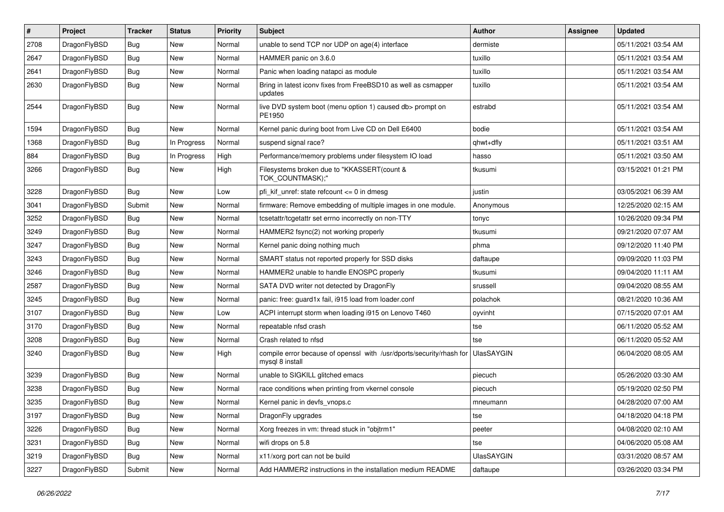| #    | Project      | <b>Tracker</b> | <b>Status</b> | <b>Priority</b> | Subject                                                                                 | <b>Author</b>     | Assignee | <b>Updated</b>      |
|------|--------------|----------------|---------------|-----------------|-----------------------------------------------------------------------------------------|-------------------|----------|---------------------|
| 2708 | DragonFlyBSD | Bug            | <b>New</b>    | Normal          | unable to send TCP nor UDP on age(4) interface                                          | dermiste          |          | 05/11/2021 03:54 AM |
| 2647 | DragonFlyBSD | Bug            | <b>New</b>    | Normal          | HAMMER panic on 3.6.0                                                                   | tuxillo           |          | 05/11/2021 03:54 AM |
| 2641 | DragonFlyBSD | <b>Bug</b>     | New           | Normal          | Panic when loading natapci as module                                                    | tuxillo           |          | 05/11/2021 03:54 AM |
| 2630 | DragonFlyBSD | Bug            | <b>New</b>    | Normal          | Bring in latest iconv fixes from FreeBSD10 as well as csmapper<br>updates               | tuxillo           |          | 05/11/2021 03:54 AM |
| 2544 | DragonFlyBSD | Bug            | New           | Normal          | live DVD system boot (menu option 1) caused db> prompt on<br>PE1950                     | estrabd           |          | 05/11/2021 03:54 AM |
| 1594 | DragonFlyBSD | Bug            | New           | Normal          | Kernel panic during boot from Live CD on Dell E6400                                     | bodie             |          | 05/11/2021 03:54 AM |
| 1368 | DragonFlyBSD | Bug            | In Progress   | Normal          | suspend signal race?                                                                    | qhwt+dfly         |          | 05/11/2021 03:51 AM |
| 884  | DragonFlyBSD | <b>Bug</b>     | In Progress   | High            | Performance/memory problems under filesystem IO load                                    | hasso             |          | 05/11/2021 03:50 AM |
| 3266 | DragonFlyBSD | <b>Bug</b>     | New           | High            | Filesystems broken due to "KKASSERT(count &<br>TOK_COUNTMASK);"                         | tkusumi           |          | 03/15/2021 01:21 PM |
| 3228 | DragonFlyBSD | <b>Bug</b>     | <b>New</b>    | Low             | pfi kif unref: state refcount $\leq 0$ in dmesg                                         | justin            |          | 03/05/2021 06:39 AM |
| 3041 | DragonFlyBSD | Submit         | New           | Normal          | firmware: Remove embedding of multiple images in one module.                            | Anonymous         |          | 12/25/2020 02:15 AM |
| 3252 | DragonFlyBSD | Bug            | <b>New</b>    | Normal          | tcsetattr/tcgetattr set errno incorrectly on non-TTY                                    | tonyc             |          | 10/26/2020 09:34 PM |
| 3249 | DragonFlyBSD | <b>Bug</b>     | <b>New</b>    | Normal          | HAMMER2 fsync(2) not working properly                                                   | tkusumi           |          | 09/21/2020 07:07 AM |
| 3247 | DragonFlyBSD | <b>Bug</b>     | <b>New</b>    | Normal          | Kernel panic doing nothing much                                                         | phma              |          | 09/12/2020 11:40 PM |
| 3243 | DragonFlyBSD | <b>Bug</b>     | <b>New</b>    | Normal          | SMART status not reported properly for SSD disks                                        | daftaupe          |          | 09/09/2020 11:03 PM |
| 3246 | DragonFlyBSD | <b>Bug</b>     | <b>New</b>    | Normal          | HAMMER2 unable to handle ENOSPC properly                                                | tkusumi           |          | 09/04/2020 11:11 AM |
| 2587 | DragonFlyBSD | Bug            | <b>New</b>    | Normal          | SATA DVD writer not detected by DragonFly                                               | srussell          |          | 09/04/2020 08:55 AM |
| 3245 | DragonFlyBSD | Bug            | New           | Normal          | panic: free: guard1x fail, i915 load from loader.conf                                   | polachok          |          | 08/21/2020 10:36 AM |
| 3107 | DragonFlyBSD | <b>Bug</b>     | <b>New</b>    | Low             | ACPI interrupt storm when loading i915 on Lenovo T460                                   | oyvinht           |          | 07/15/2020 07:01 AM |
| 3170 | DragonFlyBSD | Bug            | <b>New</b>    | Normal          | repeatable nfsd crash                                                                   | tse               |          | 06/11/2020 05:52 AM |
| 3208 | DragonFlyBSD | <b>Bug</b>     | <b>New</b>    | Normal          | Crash related to nfsd                                                                   | tse               |          | 06/11/2020 05:52 AM |
| 3240 | DragonFlyBSD | Bug            | New           | High            | compile error because of openssl with /usr/dports/security/rhash for<br>mysql 8 install | UlasSAYGIN        |          | 06/04/2020 08:05 AM |
| 3239 | DragonFlyBSD | <b>Bug</b>     | New           | Normal          | unable to SIGKILL glitched emacs                                                        | piecuch           |          | 05/26/2020 03:30 AM |
| 3238 | DragonFlyBSD | <b>Bug</b>     | <b>New</b>    | Normal          | race conditions when printing from vkernel console                                      | piecuch           |          | 05/19/2020 02:50 PM |
| 3235 | DragonFlyBSD | <b>Bug</b>     | New           | Normal          | Kernel panic in devfs vnops.c                                                           | mneumann          |          | 04/28/2020 07:00 AM |
| 3197 | DragonFlyBSD | <b>Bug</b>     | New           | Normal          | DragonFly upgrades                                                                      | tse               |          | 04/18/2020 04:18 PM |
| 3226 | DragonFlyBSD | <b>Bug</b>     | New           | Normal          | Xorg freezes in vm: thread stuck in "objtrm1"                                           | peeter            |          | 04/08/2020 02:10 AM |
| 3231 | DragonFlyBSD | <b>Bug</b>     | New           | Normal          | wifi drops on 5.8                                                                       | tse               |          | 04/06/2020 05:08 AM |
| 3219 | DragonFlyBSD | <b>Bug</b>     | New           | Normal          | x11/xorg port can not be build                                                          | <b>UlasSAYGIN</b> |          | 03/31/2020 08:57 AM |
| 3227 | DragonFlyBSD | Submit         | New           | Normal          | Add HAMMER2 instructions in the installation medium README                              | daftaupe          |          | 03/26/2020 03:34 PM |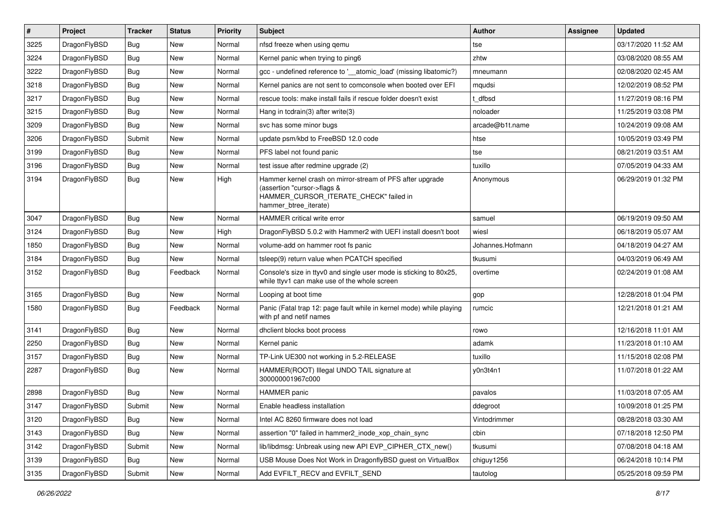| $\pmb{\#}$ | Project      | <b>Tracker</b> | <b>Status</b> | <b>Priority</b> | Subject                                                                                                                                                     | <b>Author</b>    | <b>Assignee</b> | <b>Updated</b>      |
|------------|--------------|----------------|---------------|-----------------|-------------------------------------------------------------------------------------------------------------------------------------------------------------|------------------|-----------------|---------------------|
| 3225       | DragonFlyBSD | Bug            | <b>New</b>    | Normal          | nfsd freeze when using qemu                                                                                                                                 | tse              |                 | 03/17/2020 11:52 AM |
| 3224       | DragonFlyBSD | Bug            | <b>New</b>    | Normal          | Kernel panic when trying to ping6                                                                                                                           | zhtw             |                 | 03/08/2020 08:55 AM |
| 3222       | DragonFlyBSD | Bug            | New           | Normal          | gcc - undefined reference to '__atomic_load' (missing libatomic?)                                                                                           | mneumann         |                 | 02/08/2020 02:45 AM |
| 3218       | DragonFlyBSD | Bug            | <b>New</b>    | Normal          | Kernel panics are not sent to comconsole when booted over EFI                                                                                               | mqudsi           |                 | 12/02/2019 08:52 PM |
| 3217       | DragonFlyBSD | Bug            | <b>New</b>    | Normal          | rescue tools: make install fails if rescue folder doesn't exist                                                                                             | dfbsd            |                 | 11/27/2019 08:16 PM |
| 3215       | DragonFlyBSD | Bug            | New           | Normal          | Hang in tcdrain(3) after write(3)                                                                                                                           | noloader         |                 | 11/25/2019 03:08 PM |
| 3209       | DragonFlyBSD | Bug            | <b>New</b>    | Normal          | svc has some minor bugs                                                                                                                                     | arcade@b1t.name  |                 | 10/24/2019 09:08 AM |
| 3206       | DragonFlyBSD | Submit         | <b>New</b>    | Normal          | update psm/kbd to FreeBSD 12.0 code                                                                                                                         | htse             |                 | 10/05/2019 03:49 PM |
| 3199       | DragonFlyBSD | Bug            | <b>New</b>    | Normal          | PFS label not found panic                                                                                                                                   | tse              |                 | 08/21/2019 03:51 AM |
| 3196       | DragonFlyBSD | Bug            | <b>New</b>    | Normal          | test issue after redmine upgrade (2)                                                                                                                        | tuxillo          |                 | 07/05/2019 04:33 AM |
| 3194       | DragonFlyBSD | Bug            | New           | High            | Hammer kernel crash on mirror-stream of PFS after upgrade<br>(assertion "cursor->flags &<br>HAMMER_CURSOR_ITERATE_CHECK" failed in<br>hammer_btree_iterate) | Anonymous        |                 | 06/29/2019 01:32 PM |
| 3047       | DragonFlyBSD | Bug            | <b>New</b>    | Normal          | <b>HAMMER</b> critical write error                                                                                                                          | samuel           |                 | 06/19/2019 09:50 AM |
| 3124       | DragonFlyBSD | Bug            | <b>New</b>    | High            | DragonFlyBSD 5.0.2 with Hammer2 with UEFI install doesn't boot                                                                                              | wiesl            |                 | 06/18/2019 05:07 AM |
| 1850       | DragonFlyBSD | Bug            | <b>New</b>    | Normal          | volume-add on hammer root fs panic                                                                                                                          | Johannes.Hofmann |                 | 04/18/2019 04:27 AM |
| 3184       | DragonFlyBSD | Bug            | <b>New</b>    | Normal          | tsleep(9) return value when PCATCH specified                                                                                                                | tkusumi          |                 | 04/03/2019 06:49 AM |
| 3152       | DragonFlyBSD | Bug            | Feedback      | Normal          | Console's size in ttyv0 and single user mode is sticking to 80x25,<br>while ttyv1 can make use of the whole screen                                          | overtime         |                 | 02/24/2019 01:08 AM |
| 3165       | DragonFlyBSD | <b>Bug</b>     | <b>New</b>    | Normal          | Looping at boot time                                                                                                                                        | gop              |                 | 12/28/2018 01:04 PM |
| 1580       | DragonFlyBSD | Bug            | Feedback      | Normal          | Panic (Fatal trap 12: page fault while in kernel mode) while playing<br>with pf and netif names                                                             | rumcic           |                 | 12/21/2018 01:21 AM |
| 3141       | DragonFlyBSD | <b>Bug</b>     | <b>New</b>    | Normal          | dhclient blocks boot process                                                                                                                                | rowo             |                 | 12/16/2018 11:01 AM |
| 2250       | DragonFlyBSD | Bug            | <b>New</b>    | Normal          | Kernel panic                                                                                                                                                | adamk            |                 | 11/23/2018 01:10 AM |
| 3157       | DragonFlyBSD | Bug            | <b>New</b>    | Normal          | TP-Link UE300 not working in 5.2-RELEASE                                                                                                                    | tuxillo          |                 | 11/15/2018 02:08 PM |
| 2287       | DragonFlyBSD | Bug            | New           | Normal          | HAMMER(ROOT) Illegal UNDO TAIL signature at<br>300000001967c000                                                                                             | y0n3t4n1         |                 | 11/07/2018 01:22 AM |
| 2898       | DragonFlyBSD | Bug            | <b>New</b>    | Normal          | <b>HAMMER</b> panic                                                                                                                                         | pavalos          |                 | 11/03/2018 07:05 AM |
| 3147       | DragonFlyBSD | Submit         | New           | Normal          | Enable headless installation                                                                                                                                | ddegroot         |                 | 10/09/2018 01:25 PM |
| 3120       | DragonFlyBSD | Bug            | New           | Normal          | Intel AC 8260 firmware does not load                                                                                                                        | Vintodrimmer     |                 | 08/28/2018 03:30 AM |
| 3143       | DragonFlyBSD | Bug            | New           | Normal          | assertion "0" failed in hammer2_inode_xop_chain_sync                                                                                                        | cbin             |                 | 07/18/2018 12:50 PM |
| 3142       | DragonFlyBSD | Submit         | New           | Normal          | lib/libdmsg: Unbreak using new API EVP_CIPHER_CTX_new()                                                                                                     | tkusumi          |                 | 07/08/2018 04:18 AM |
| 3139       | DragonFlyBSD | Bug            | New           | Normal          | USB Mouse Does Not Work in DragonflyBSD guest on VirtualBox                                                                                                 | chiguy1256       |                 | 06/24/2018 10:14 PM |
| 3135       | DragonFlyBSD | Submit         | New           | Normal          | Add EVFILT_RECV and EVFILT_SEND                                                                                                                             | tautolog         |                 | 05/25/2018 09:59 PM |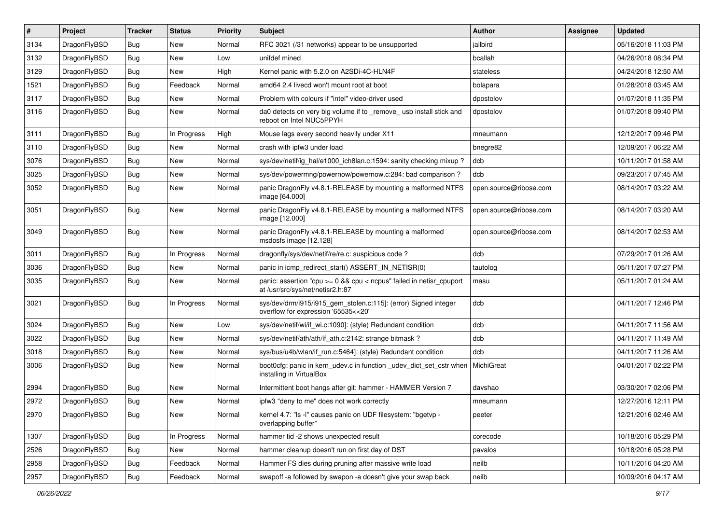| $\vert$ # | Project      | <b>Tracker</b> | <b>Status</b> | <b>Priority</b> | <b>Subject</b>                                                                                          | Author                 | Assignee | <b>Updated</b>      |
|-----------|--------------|----------------|---------------|-----------------|---------------------------------------------------------------------------------------------------------|------------------------|----------|---------------------|
| 3134      | DragonFlyBSD | <b>Bug</b>     | <b>New</b>    | Normal          | RFC 3021 (/31 networks) appear to be unsupported                                                        | jailbird               |          | 05/16/2018 11:03 PM |
| 3132      | DragonFlyBSD | <b>Bug</b>     | <b>New</b>    | Low             | unifdef mined                                                                                           | bcallah                |          | 04/26/2018 08:34 PM |
| 3129      | DragonFlyBSD | Bug            | New           | High            | Kernel panic with 5.2.0 on A2SDi-4C-HLN4F                                                               | stateless              |          | 04/24/2018 12:50 AM |
| 1521      | DragonFlyBSD | Bug            | Feedback      | Normal          | amd64 2.4 livecd won't mount root at boot                                                               | bolapara               |          | 01/28/2018 03:45 AM |
| 3117      | DragonFlyBSD | Bug            | <b>New</b>    | Normal          | Problem with colours if "intel" video-driver used                                                       | dpostolov              |          | 01/07/2018 11:35 PM |
| 3116      | DragonFlyBSD | <b>Bug</b>     | New           | Normal          | da0 detects on very big volume if to _remove_ usb install stick and<br>reboot on Intel NUC5PPYH         | dpostolov              |          | 01/07/2018 09:40 PM |
| 3111      | DragonFlyBSD | <b>Bug</b>     | In Progress   | High            | Mouse lags every second heavily under X11                                                               | mneumann               |          | 12/12/2017 09:46 PM |
| 3110      | DragonFlyBSD | Bug            | <b>New</b>    | Normal          | crash with ipfw3 under load                                                                             | bnegre82               |          | 12/09/2017 06:22 AM |
| 3076      | DragonFlyBSD | Bug            | <b>New</b>    | Normal          | sys/dev/netif/ig_hal/e1000_ich8lan.c:1594: sanity checking mixup ?                                      | dcb                    |          | 10/11/2017 01:58 AM |
| 3025      | DragonFlyBSD | Bug            | <b>New</b>    | Normal          | sys/dev/powermng/powernow/powernow.c:284: bad comparison?                                               | dcb                    |          | 09/23/2017 07:45 AM |
| 3052      | DragonFlyBSD | Bug            | <b>New</b>    | Normal          | panic DragonFly v4.8.1-RELEASE by mounting a malformed NTFS<br>image [64.000]                           | open.source@ribose.com |          | 08/14/2017 03:22 AM |
| 3051      | DragonFlyBSD | <b>Bug</b>     | New           | Normal          | panic DragonFly v4.8.1-RELEASE by mounting a malformed NTFS<br>image [12.000]                           | open.source@ribose.com |          | 08/14/2017 03:20 AM |
| 3049      | DragonFlyBSD | <b>Bug</b>     | New           | Normal          | panic DragonFly v4.8.1-RELEASE by mounting a malformed<br>msdosfs image [12.128]                        | open.source@ribose.com |          | 08/14/2017 02:53 AM |
| 3011      | DragonFlyBSD | Bug            | In Progress   | Normal          | dragonfly/sys/dev/netif/re/re.c: suspicious code ?                                                      | dcb                    |          | 07/29/2017 01:26 AM |
| 3036      | DragonFlyBSD | <b>Bug</b>     | <b>New</b>    | Normal          | panic in icmp redirect start() ASSERT IN NETISR(0)                                                      | tautolog               |          | 05/11/2017 07:27 PM |
| 3035      | DragonFlyBSD | Bug            | New           | Normal          | panic: assertion "cpu >= 0 && cpu < ncpus" failed in netisr_cpuport<br>at /usr/src/sys/net/netisr2.h:87 | masu                   |          | 05/11/2017 01:24 AM |
| 3021      | DragonFlyBSD | <b>Bug</b>     | In Progress   | Normal          | sys/dev/drm/i915/i915_gem_stolen.c:115]: (error) Signed integer<br>overflow for expression '65535<<20'  | dcb                    |          | 04/11/2017 12:46 PM |
| 3024      | DragonFlyBSD | <b>Bug</b>     | New           | Low             | sys/dev/netif/wi/if wi.c:1090]: (style) Redundant condition                                             | dcb                    |          | 04/11/2017 11:56 AM |
| 3022      | DragonFlyBSD | Bug            | <b>New</b>    | Normal          | sys/dev/netif/ath/ath/if_ath.c:2142: strange bitmask?                                                   | dcb                    |          | 04/11/2017 11:49 AM |
| 3018      | DragonFlyBSD | <b>Bug</b>     | <b>New</b>    | Normal          | sys/bus/u4b/wlan/if_run.c:5464]: (style) Redundant condition                                            | dcb                    |          | 04/11/2017 11:26 AM |
| 3006      | DragonFlyBSD | Bug            | New           | Normal          | boot0cfg: panic in kern_udev.c in function _udev_dict_set_cstr when<br>installing in VirtualBox         | <b>MichiGreat</b>      |          | 04/01/2017 02:22 PM |
| 2994      | DragonFlyBSD | <b>Bug</b>     | <b>New</b>    | Normal          | Intermittent boot hangs after git: hammer - HAMMER Version 7                                            | davshao                |          | 03/30/2017 02:06 PM |
| 2972      | DragonFlyBSD | <b>Bug</b>     | New           | Normal          | ipfw3 "deny to me" does not work correctly                                                              | mneumann               |          | 12/27/2016 12:11 PM |
| 2970      | DragonFlyBSD | Bug            | New           | Normal          | kernel 4.7: "Is -I" causes panic on UDF filesystem: "bgetvp -<br>overlapping buffer"                    | peeter                 |          | 12/21/2016 02:46 AM |
| 1307      | DragonFlyBSD | <b>Bug</b>     | In Progress   | Normal          | hammer tid -2 shows unexpected result                                                                   | corecode               |          | 10/18/2016 05:29 PM |
| 2526      | DragonFlyBSD | <b>Bug</b>     | New           | Normal          | hammer cleanup doesn't run on first day of DST                                                          | pavalos                |          | 10/18/2016 05:28 PM |
| 2958      | DragonFlyBSD | <b>Bug</b>     | Feedback      | Normal          | Hammer FS dies during pruning after massive write load                                                  | neilb                  |          | 10/11/2016 04:20 AM |
| 2957      | DragonFlyBSD | <b>Bug</b>     | Feedback      | Normal          | swapoff -a followed by swapon -a doesn't give your swap back                                            | neilb                  |          | 10/09/2016 04:17 AM |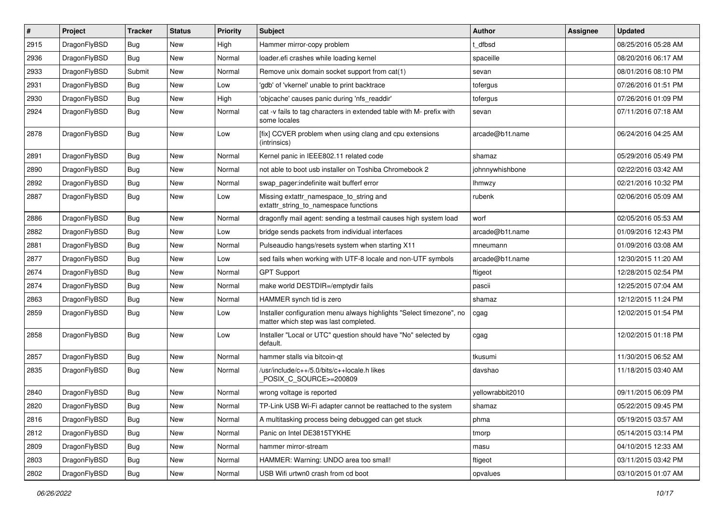| $\vert$ # | Project      | <b>Tracker</b> | <b>Status</b> | <b>Priority</b> | Subject                                                                                                       | Author           | <b>Assignee</b> | <b>Updated</b>      |
|-----------|--------------|----------------|---------------|-----------------|---------------------------------------------------------------------------------------------------------------|------------------|-----------------|---------------------|
| 2915      | DragonFlyBSD | <b>Bug</b>     | New           | High            | Hammer mirror-copy problem                                                                                    | t dfbsd          |                 | 08/25/2016 05:28 AM |
| 2936      | DragonFlyBSD | <b>Bug</b>     | <b>New</b>    | Normal          | loader.efi crashes while loading kernel                                                                       | spaceille        |                 | 08/20/2016 06:17 AM |
| 2933      | DragonFlyBSD | Submit         | New           | Normal          | Remove unix domain socket support from cat(1)                                                                 | sevan            |                 | 08/01/2016 08:10 PM |
| 2931      | DragonFlyBSD | Bug            | New           | Low             | 'gdb' of 'vkernel' unable to print backtrace                                                                  | tofergus         |                 | 07/26/2016 01:51 PM |
| 2930      | DragonFlyBSD | <b>Bug</b>     | <b>New</b>    | High            | 'objcache' causes panic during 'nfs_readdir'                                                                  | tofergus         |                 | 07/26/2016 01:09 PM |
| 2924      | DragonFlyBSD | <b>Bug</b>     | New           | Normal          | cat -v fails to tag characters in extended table with M- prefix with<br>some locales                          | sevan            |                 | 07/11/2016 07:18 AM |
| 2878      | DragonFlyBSD | <b>Bug</b>     | New           | Low             | [fix] CCVER problem when using clang and cpu extensions<br>(intrinsics)                                       | arcade@b1t.name  |                 | 06/24/2016 04:25 AM |
| 2891      | DragonFlyBSD | <b>Bug</b>     | <b>New</b>    | Normal          | Kernel panic in IEEE802.11 related code                                                                       | shamaz           |                 | 05/29/2016 05:49 PM |
| 2890      | DragonFlyBSD | <b>Bug</b>     | <b>New</b>    | Normal          | not able to boot usb installer on Toshiba Chromebook 2                                                        | johnnywhishbone  |                 | 02/22/2016 03:42 AM |
| 2892      | DragonFlyBSD | Bug            | New           | Normal          | swap_pager:indefinite wait bufferf error                                                                      | <b>Ihmwzy</b>    |                 | 02/21/2016 10:32 PM |
| 2887      | DragonFlyBSD | Bug            | <b>New</b>    | Low             | Missing extattr_namespace_to_string and<br>extattr_string_to_namespace functions                              | rubenk           |                 | 02/06/2016 05:09 AM |
| 2886      | DragonFlyBSD | Bug            | <b>New</b>    | Normal          | dragonfly mail agent: sending a testmail causes high system load                                              | worf             |                 | 02/05/2016 05:53 AM |
| 2882      | DragonFlyBSD | <b>Bug</b>     | New           | Low             | bridge sends packets from individual interfaces                                                               | arcade@b1t.name  |                 | 01/09/2016 12:43 PM |
| 2881      | DragonFlyBSD | Bug            | <b>New</b>    | Normal          | Pulseaudio hangs/resets system when starting X11                                                              | mneumann         |                 | 01/09/2016 03:08 AM |
| 2877      | DragonFlyBSD | <b>Bug</b>     | <b>New</b>    | Low             | sed fails when working with UTF-8 locale and non-UTF symbols                                                  | arcade@b1t.name  |                 | 12/30/2015 11:20 AM |
| 2674      | DragonFlyBSD | Bug            | <b>New</b>    | Normal          | <b>GPT Support</b>                                                                                            | ftigeot          |                 | 12/28/2015 02:54 PM |
| 2874      | DragonFlyBSD | Bug            | <b>New</b>    | Normal          | make world DESTDIR=/emptydir fails                                                                            | pascii           |                 | 12/25/2015 07:04 AM |
| 2863      | DragonFlyBSD | <b>Bug</b>     | New           | Normal          | HAMMER synch tid is zero                                                                                      | shamaz           |                 | 12/12/2015 11:24 PM |
| 2859      | DragonFlyBSD | Bug            | New           | Low             | Installer configuration menu always highlights "Select timezone", no<br>matter which step was last completed. | cgag             |                 | 12/02/2015 01:54 PM |
| 2858      | DragonFlyBSD | Bug            | New           | Low             | Installer "Local or UTC" question should have "No" selected by<br>default.                                    | cgag             |                 | 12/02/2015 01:18 PM |
| 2857      | DragonFlyBSD | <b>Bug</b>     | New           | Normal          | hammer stalls via bitcoin-qt                                                                                  | tkusumi          |                 | 11/30/2015 06:52 AM |
| 2835      | DragonFlyBSD | Bug            | <b>New</b>    | Normal          | /usr/include/c++/5.0/bits/c++locale.h likes<br>POSIX_C_SOURCE>=200809                                         | davshao          |                 | 11/18/2015 03:40 AM |
| 2840      | DragonFlyBSD | Bug            | <b>New</b>    | Normal          | wrong voltage is reported                                                                                     | yellowrabbit2010 |                 | 09/11/2015 06:09 PM |
| 2820      | DragonFlyBSD | Bug            | New           | Normal          | TP-Link USB Wi-Fi adapter cannot be reattached to the system                                                  | shamaz           |                 | 05/22/2015 09:45 PM |
| 2816      | DragonFlyBSD | Bug            | New           | Normal          | A multitasking process being debugged can get stuck                                                           | phma             |                 | 05/19/2015 03:57 AM |
| 2812      | DragonFlyBSD | Bug            | New           | Normal          | Panic on Intel DE3815TYKHE                                                                                    | tmorp            |                 | 05/14/2015 03:14 PM |
| 2809      | DragonFlyBSD | <b>Bug</b>     | New           | Normal          | hammer mirror-stream                                                                                          | masu             |                 | 04/10/2015 12:33 AM |
| 2803      | DragonFlyBSD | Bug            | New           | Normal          | HAMMER: Warning: UNDO area too small!                                                                         | ftigeot          |                 | 03/11/2015 03:42 PM |
| 2802      | DragonFlyBSD | Bug            | New           | Normal          | USB Wifi urtwn0 crash from cd boot                                                                            | opvalues         |                 | 03/10/2015 01:07 AM |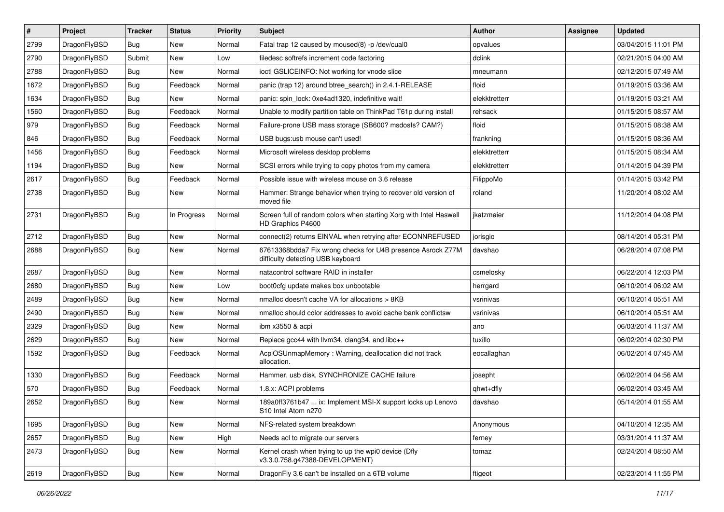| $\sharp$ | Project      | <b>Tracker</b> | <b>Status</b> | <b>Priority</b> | Subject                                                                                          | <b>Author</b> | Assignee | <b>Updated</b>      |
|----------|--------------|----------------|---------------|-----------------|--------------------------------------------------------------------------------------------------|---------------|----------|---------------------|
| 2799     | DragonFlyBSD | Bug            | New           | Normal          | Fatal trap 12 caused by moused(8) -p /dev/cual0                                                  | opvalues      |          | 03/04/2015 11:01 PM |
| 2790     | DragonFlyBSD | Submit         | <b>New</b>    | Low             | filedesc softrefs increment code factoring                                                       | dclink        |          | 02/21/2015 04:00 AM |
| 2788     | DragonFlyBSD | <b>Bug</b>     | New           | Normal          | ioctl GSLICEINFO: Not working for vnode slice                                                    | mneumann      |          | 02/12/2015 07:49 AM |
| 1672     | DragonFlyBSD | <b>Bug</b>     | Feedback      | Normal          | panic (trap 12) around btree search() in 2.4.1-RELEASE                                           | floid         |          | 01/19/2015 03:36 AM |
| 1634     | DragonFlyBSD | <b>Bug</b>     | <b>New</b>    | Normal          | panic: spin_lock: 0xe4ad1320, indefinitive wait!                                                 | elekktretterr |          | 01/19/2015 03:21 AM |
| 1560     | DragonFlyBSD | <b>Bug</b>     | Feedback      | Normal          | Unable to modify partition table on ThinkPad T61p during install                                 | rehsack       |          | 01/15/2015 08:57 AM |
| 979      | DragonFlyBSD | <b>Bug</b>     | Feedback      | Normal          | Failure-prone USB mass storage (SB600? msdosfs? CAM?)                                            | floid         |          | 01/15/2015 08:38 AM |
| 846      | DragonFlyBSD | <b>Bug</b>     | Feedback      | Normal          | USB bugs:usb mouse can't used!                                                                   | frankning     |          | 01/15/2015 08:36 AM |
| 1456     | DragonFlyBSD | <b>Bug</b>     | Feedback      | Normal          | Microsoft wireless desktop problems                                                              | elekktretterr |          | 01/15/2015 08:34 AM |
| 1194     | DragonFlyBSD | <b>Bug</b>     | New           | Normal          | SCSI errors while trying to copy photos from my camera                                           | elekktretterr |          | 01/14/2015 04:39 PM |
| 2617     | DragonFlyBSD | <b>Bug</b>     | Feedback      | Normal          | Possible issue with wireless mouse on 3.6 release                                                | FilippoMo     |          | 01/14/2015 03:42 PM |
| 2738     | DragonFlyBSD | <b>Bug</b>     | <b>New</b>    | Normal          | Hammer: Strange behavior when trying to recover old version of<br>moved file                     | roland        |          | 11/20/2014 08:02 AM |
| 2731     | DragonFlyBSD | <b>Bug</b>     | In Progress   | Normal          | Screen full of random colors when starting Xorg with Intel Haswell<br>HD Graphics P4600          | jkatzmaier    |          | 11/12/2014 04:08 PM |
| 2712     | DragonFlyBSD | <b>Bug</b>     | <b>New</b>    | Normal          | connect(2) returns EINVAL when retrying after ECONNREFUSED                                       | jorisgio      |          | 08/14/2014 05:31 PM |
| 2688     | DragonFlyBSD | <b>Bug</b>     | New           | Normal          | 67613368bdda7 Fix wrong checks for U4B presence Asrock Z77M<br>difficulty detecting USB keyboard | davshao       |          | 06/28/2014 07:08 PM |
| 2687     | DragonFlyBSD | <b>Bug</b>     | <b>New</b>    | Normal          | natacontrol software RAID in installer                                                           | csmelosky     |          | 06/22/2014 12:03 PM |
| 2680     | DragonFlyBSD | <b>Bug</b>     | New           | Low             | boot0cfg update makes box unbootable                                                             | herrgard      |          | 06/10/2014 06:02 AM |
| 2489     | DragonFlyBSD | <b>Bug</b>     | New           | Normal          | nmalloc doesn't cache VA for allocations > 8KB                                                   | vsrinivas     |          | 06/10/2014 05:51 AM |
| 2490     | DragonFlyBSD | <b>Bug</b>     | New           | Normal          | nmalloc should color addresses to avoid cache bank conflictsw                                    | vsrinivas     |          | 06/10/2014 05:51 AM |
| 2329     | DragonFlyBSD | <b>Bug</b>     | <b>New</b>    | Normal          | ibm x3550 & acpi                                                                                 | ano           |          | 06/03/2014 11:37 AM |
| 2629     | DragonFlyBSD | <b>Bug</b>     | New           | Normal          | Replace gcc44 with llvm34, clang34, and libc++                                                   | tuxillo       |          | 06/02/2014 02:30 PM |
| 1592     | DragonFlyBSD | <b>Bug</b>     | Feedback      | Normal          | AcpiOSUnmapMemory: Warning, deallocation did not track<br>allocation.                            | eocallaghan   |          | 06/02/2014 07:45 AM |
| 1330     | DragonFlyBSD | <b>Bug</b>     | Feedback      | Normal          | Hammer, usb disk, SYNCHRONIZE CACHE failure                                                      | josepht       |          | 06/02/2014 04:56 AM |
| 570      | DragonFlyBSD | <b>Bug</b>     | Feedback      | Normal          | 1.8.x: ACPI problems                                                                             | qhwt+dfly     |          | 06/02/2014 03:45 AM |
| 2652     | DragonFlyBSD | Bug            | New           | Normal          | 189a0ff3761b47  ix: Implement MSI-X support locks up Lenovo<br>S10 Intel Atom n2/0               | davshao       |          | 05/14/2014 01:55 AM |
| 1695     | DragonFlyBSD | <b>Bug</b>     | <b>New</b>    | Normal          | NFS-related system breakdown                                                                     | Anonymous     |          | 04/10/2014 12:35 AM |
| 2657     | DragonFlyBSD | <b>Bug</b>     | New           | High            | Needs acl to migrate our servers                                                                 | ferney        |          | 03/31/2014 11:37 AM |
| 2473     | DragonFlyBSD | <b>Bug</b>     | New           | Normal          | Kernel crash when trying to up the wpi0 device (Dfly<br>v3.3.0.758.g47388-DEVELOPMENT)           | tomaz         |          | 02/24/2014 08:50 AM |
| 2619     | DragonFlyBSD | <b>Bug</b>     | New           | Normal          | DragonFly 3.6 can't be installed on a 6TB volume                                                 | ftigeot       |          | 02/23/2014 11:55 PM |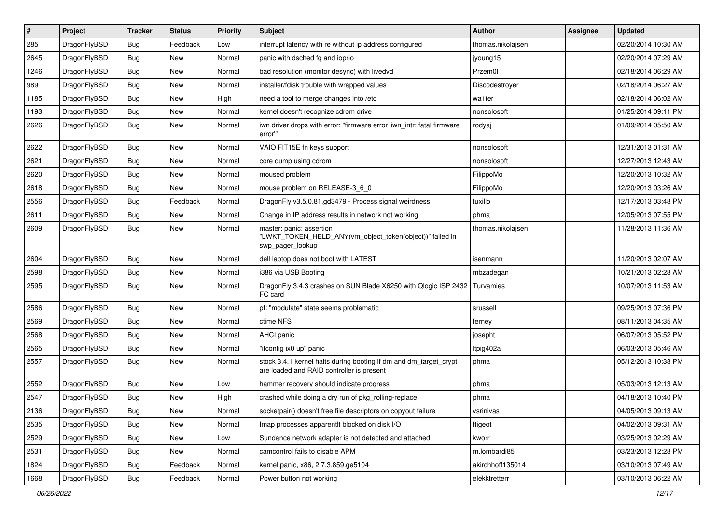| $\#$ | Project      | <b>Tracker</b> | <b>Status</b> | <b>Priority</b> | Subject                                                                                                        | <b>Author</b>     | Assignee | <b>Updated</b>      |
|------|--------------|----------------|---------------|-----------------|----------------------------------------------------------------------------------------------------------------|-------------------|----------|---------------------|
| 285  | DragonFlyBSD | Bug            | Feedback      | Low             | interrupt latency with re without ip address configured                                                        | thomas.nikolajsen |          | 02/20/2014 10:30 AM |
| 2645 | DragonFlyBSD | Bug            | <b>New</b>    | Normal          | panic with dsched fq and ioprio                                                                                | jyoung15          |          | 02/20/2014 07:29 AM |
| 1246 | DragonFlyBSD | <b>Bug</b>     | New           | Normal          | bad resolution (monitor desync) with livedvd                                                                   | Przem0l           |          | 02/18/2014 06:29 AM |
| 989  | DragonFlyBSD | <b>Bug</b>     | <b>New</b>    | Normal          | installer/fdisk trouble with wrapped values                                                                    | Discodestroyer    |          | 02/18/2014 06:27 AM |
| 1185 | DragonFlyBSD | Bug            | <b>New</b>    | High            | need a tool to merge changes into /etc                                                                         | wa1ter            |          | 02/18/2014 06:02 AM |
| 1193 | DragonFlyBSD | <b>Bug</b>     | New           | Normal          | kernel doesn't recognize cdrom drive                                                                           | nonsolosoft       |          | 01/25/2014 09:11 PM |
| 2626 | DragonFlyBSD | Bug            | New           | Normal          | iwn driver drops with error: "firmware error 'iwn_intr: fatal firmware<br>error"                               | rodyaj            |          | 01/09/2014 05:50 AM |
| 2622 | DragonFlyBSD | Bug            | <b>New</b>    | Normal          | VAIO FIT15E fn keys support                                                                                    | nonsolosoft       |          | 12/31/2013 01:31 AM |
| 2621 | DragonFlyBSD | Bug            | New           | Normal          | core dump using cdrom                                                                                          | nonsolosoft       |          | 12/27/2013 12:43 AM |
| 2620 | DragonFlyBSD | <b>Bug</b>     | <b>New</b>    | Normal          | moused problem                                                                                                 | FilippoMo         |          | 12/20/2013 10:32 AM |
| 2618 | DragonFlyBSD | <b>Bug</b>     | New           | Normal          | mouse problem on RELEASE-3_6_0                                                                                 | FilippoMo         |          | 12/20/2013 03:26 AM |
| 2556 | DragonFlyBSD | Bug            | Feedback      | Normal          | DragonFly v3.5.0.81.gd3479 - Process signal weirdness                                                          | tuxillo           |          | 12/17/2013 03:48 PM |
| 2611 | DragonFlyBSD | <b>Bug</b>     | New           | Normal          | Change in IP address results in network not working                                                            | phma              |          | 12/05/2013 07:55 PM |
| 2609 | DragonFlyBSD | Bug            | New           | Normal          | master: panic: assertion<br>"LWKT_TOKEN_HELD_ANY(vm_object_token(object))" failed in<br>swp_pager_lookup       | thomas.nikolajsen |          | 11/28/2013 11:36 AM |
| 2604 | DragonFlyBSD | Bug            | New           | Normal          | dell laptop does not boot with LATEST                                                                          | isenmann          |          | 11/20/2013 02:07 AM |
| 2598 | DragonFlyBSD | <b>Bug</b>     | New           | Normal          | i386 via USB Booting                                                                                           | mbzadegan         |          | 10/21/2013 02:28 AM |
| 2595 | DragonFlyBSD | <b>Bug</b>     | New           | Normal          | DragonFly 3.4.3 crashes on SUN Blade X6250 with Qlogic ISP 2432<br>FC card                                     | Turvamies         |          | 10/07/2013 11:53 AM |
| 2586 | DragonFlyBSD | Bug            | <b>New</b>    | Normal          | pf: "modulate" state seems problematic                                                                         | srussell          |          | 09/25/2013 07:36 PM |
| 2569 | DragonFlyBSD | Bug            | New           | Normal          | ctime NFS                                                                                                      | ferney            |          | 08/11/2013 04:35 AM |
| 2568 | DragonFlyBSD | <b>Bug</b>     | New           | Normal          | AHCI panic                                                                                                     | josepht           |          | 06/07/2013 05:52 PM |
| 2565 | DragonFlyBSD | <b>Bug</b>     | <b>New</b>    | Normal          | "ifconfig ix0 up" panic                                                                                        | ltpig402a         |          | 06/03/2013 05:46 AM |
| 2557 | DragonFlyBSD | <b>Bug</b>     | New           | Normal          | stock 3.4.1 kernel halts during booting if dm and dm_target_crypt<br>are loaded and RAID controller is present | phma              |          | 05/12/2013 10:38 PM |
| 2552 | DragonFlyBSD | Bug            | New           | Low             | hammer recovery should indicate progress                                                                       | phma              |          | 05/03/2013 12:13 AM |
| 2547 | DragonFlyBSD | Bug            | New           | High            | crashed while doing a dry run of pkg_rolling-replace                                                           | phma              |          | 04/18/2013 10:40 PM |
| 2136 | DragonFlyBSD | <b>Bug</b>     | <b>New</b>    | Normal          | socketpair() doesn't free file descriptors on copyout failure                                                  | vsrinivas         |          | 04/05/2013 09:13 AM |
| 2535 | DragonFlyBSD | <b>Bug</b>     | <b>New</b>    | Normal          | Imap processes apparentlt blocked on disk I/O                                                                  | ftigeot           |          | 04/02/2013 09:31 AM |
| 2529 | DragonFlyBSD | <b>Bug</b>     | New           | Low             | Sundance network adapter is not detected and attached                                                          | kworr             |          | 03/25/2013 02:29 AM |
| 2531 | DragonFlyBSD | <b>Bug</b>     | New           | Normal          | camcontrol fails to disable APM                                                                                | m.lombardi85      |          | 03/23/2013 12:28 PM |
| 1824 | DragonFlyBSD | <b>Bug</b>     | Feedback      | Normal          | kernel panic, x86, 2.7.3.859.ge5104                                                                            | akirchhoff135014  |          | 03/10/2013 07:49 AM |
| 1668 | DragonFlyBSD | <b>Bug</b>     | Feedback      | Normal          | Power button not working                                                                                       | elekktretterr     |          | 03/10/2013 06:22 AM |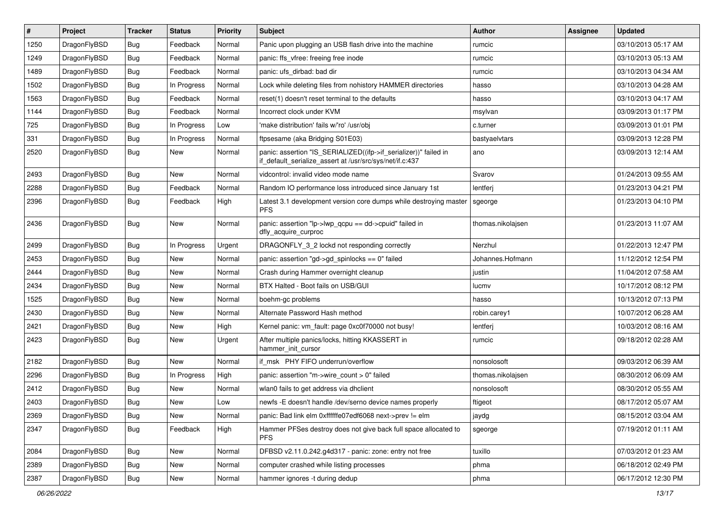| $\vert$ # | Project      | <b>Tracker</b> | <b>Status</b> | <b>Priority</b> | Subject                                                                                                                      | <b>Author</b>     | <b>Assignee</b> | <b>Updated</b>      |
|-----------|--------------|----------------|---------------|-----------------|------------------------------------------------------------------------------------------------------------------------------|-------------------|-----------------|---------------------|
| 1250      | DragonFlyBSD | <b>Bug</b>     | Feedback      | Normal          | Panic upon plugging an USB flash drive into the machine                                                                      | rumcic            |                 | 03/10/2013 05:17 AM |
| 1249      | DragonFlyBSD | Bug            | Feedback      | Normal          | panic: ffs vfree: freeing free inode                                                                                         | rumcic            |                 | 03/10/2013 05:13 AM |
| 1489      | DragonFlyBSD | <b>Bug</b>     | Feedback      | Normal          | panic: ufs dirbad: bad dir                                                                                                   | rumcic            |                 | 03/10/2013 04:34 AM |
| 1502      | DragonFlyBSD | <b>Bug</b>     | In Progress   | Normal          | Lock while deleting files from nohistory HAMMER directories                                                                  | hasso             |                 | 03/10/2013 04:28 AM |
| 1563      | DragonFlyBSD | <b>Bug</b>     | Feedback      | Normal          | reset(1) doesn't reset terminal to the defaults                                                                              | hasso             |                 | 03/10/2013 04:17 AM |
| 1144      | DragonFlyBSD | <b>Bug</b>     | Feedback      | Normal          | Incorrect clock under KVM                                                                                                    | msylvan           |                 | 03/09/2013 01:17 PM |
| 725       | DragonFlyBSD | Bug            | In Progress   | Low             | 'make distribution' fails w/'ro' /usr/obi                                                                                    | c.turner          |                 | 03/09/2013 01:01 PM |
| 331       | DragonFlyBSD | Bug            | In Progress   | Normal          | ftpsesame (aka Bridging S01E03)                                                                                              | bastyaelvtars     |                 | 03/09/2013 12:28 PM |
| 2520      | DragonFlyBSD | Bug            | New           | Normal          | panic: assertion "IS_SERIALIZED((ifp->if_serializer))" failed in<br>if_default_serialize_assert at /usr/src/sys/net/if.c:437 | ano               |                 | 03/09/2013 12:14 AM |
| 2493      | DragonFlyBSD | Bug            | <b>New</b>    | Normal          | vidcontrol: invalid video mode name                                                                                          | Svarov            |                 | 01/24/2013 09:55 AM |
| 2288      | DragonFlyBSD | <b>Bug</b>     | Feedback      | Normal          | Random IO performance loss introduced since January 1st                                                                      | lentferj          |                 | 01/23/2013 04:21 PM |
| 2396      | DragonFlyBSD | Bug            | Feedback      | High            | Latest 3.1 development version core dumps while destroying master<br><b>PFS</b>                                              | sgeorge           |                 | 01/23/2013 04:10 PM |
| 2436      | DragonFlyBSD | Bug            | <b>New</b>    | Normal          | panic: assertion "lp->lwp_qcpu == dd->cpuid" failed in<br>dfly acquire curproc                                               | thomas.nikolajsen |                 | 01/23/2013 11:07 AM |
| 2499      | DragonFlyBSD | Bug            | In Progress   | Urgent          | DRAGONFLY_3_2 lockd not responding correctly                                                                                 | Nerzhul           |                 | 01/22/2013 12:47 PM |
| 2453      | DragonFlyBSD | <b>Bug</b>     | <b>New</b>    | Normal          | panic: assertion "gd->gd spinlocks == $0$ " failed                                                                           | Johannes.Hofmann  |                 | 11/12/2012 12:54 PM |
| 2444      | DragonFlyBSD | <b>Bug</b>     | New           | Normal          | Crash during Hammer overnight cleanup                                                                                        | justin            |                 | 11/04/2012 07:58 AM |
| 2434      | DragonFlyBSD | Bug            | <b>New</b>    | Normal          | BTX Halted - Boot fails on USB/GUI                                                                                           | lucmv             |                 | 10/17/2012 08:12 PM |
| 1525      | DragonFlyBSD | <b>Bug</b>     | <b>New</b>    | Normal          | boehm-gc problems                                                                                                            | hasso             |                 | 10/13/2012 07:13 PM |
| 2430      | DragonFlyBSD | <b>Bug</b>     | New           | Normal          | Alternate Password Hash method                                                                                               | robin.carey1      |                 | 10/07/2012 06:28 AM |
| 2421      | DragonFlyBSD | Bug            | <b>New</b>    | High            | Kernel panic: vm_fault: page 0xc0f70000 not busy!                                                                            | lentferj          |                 | 10/03/2012 08:16 AM |
| 2423      | DragonFlyBSD | Bug            | New           | Urgent          | After multiple panics/locks, hitting KKASSERT in<br>hammer_init_cursor                                                       | rumcic            |                 | 09/18/2012 02:28 AM |
| 2182      | DragonFlyBSD | <b>Bug</b>     | New           | Normal          | if msk PHY FIFO underrun/overflow                                                                                            | nonsolosoft       |                 | 09/03/2012 06:39 AM |
| 2296      | DragonFlyBSD | Bug            | In Progress   | High            | panic: assertion "m->wire count > 0" failed                                                                                  | thomas.nikolajsen |                 | 08/30/2012 06:09 AM |
| 2412      | DragonFlyBSD | Bug            | New           | Normal          | wlan0 fails to get address via dhclient                                                                                      | nonsolosoft       |                 | 08/30/2012 05:55 AM |
| 2403      | DragonFlyBSD | <b>Bug</b>     | New           | Low             | newfs -E doesn't handle /dev/serno device names properly                                                                     | ftigeot           |                 | 08/17/2012 05:07 AM |
| 2369      | DragonFlyBSD | <b>Bug</b>     | New           | Normal          | panic: Bad link elm 0xffffffe07edf6068 next->prev != elm                                                                     | jaydg             |                 | 08/15/2012 03:04 AM |
| 2347      | DragonFlyBSD | <b>Bug</b>     | Feedback      | High            | Hammer PFSes destroy does not give back full space allocated to<br><b>PFS</b>                                                | sgeorge           |                 | 07/19/2012 01:11 AM |
| 2084      | DragonFlyBSD | Bug            | New           | Normal          | DFBSD v2.11.0.242.g4d317 - panic: zone: entry not free                                                                       | tuxillo           |                 | 07/03/2012 01:23 AM |
| 2389      | DragonFlyBSD | Bug            | New           | Normal          | computer crashed while listing processes                                                                                     | phma              |                 | 06/18/2012 02:49 PM |
| 2387      | DragonFlyBSD | Bug            | New           | Normal          | hammer ignores -t during dedup                                                                                               | phma              |                 | 06/17/2012 12:30 PM |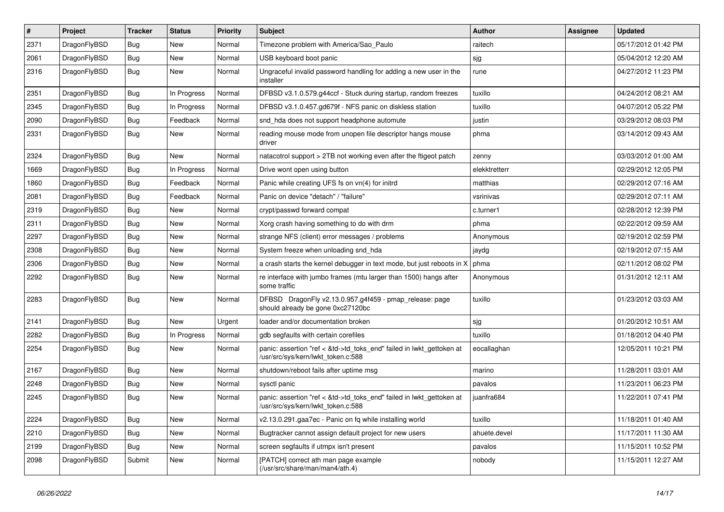| $\sharp$ | Project      | <b>Tracker</b> | <b>Status</b> | <b>Priority</b> | Subject                                                                                                    | <b>Author</b> | Assignee | <b>Updated</b>      |
|----------|--------------|----------------|---------------|-----------------|------------------------------------------------------------------------------------------------------------|---------------|----------|---------------------|
| 2371     | DragonFlyBSD | <b>Bug</b>     | New           | Normal          | Timezone problem with America/Sao_Paulo                                                                    | raitech       |          | 05/17/2012 01:42 PM |
| 2061     | DragonFlyBSD | Bug            | New           | Normal          | USB keyboard boot panic                                                                                    | sjg           |          | 05/04/2012 12:20 AM |
| 2316     | DragonFlyBSD | <b>Bug</b>     | New           | Normal          | Ungraceful invalid password handling for adding a new user in the<br>installer                             | rune          |          | 04/27/2012 11:23 PM |
| 2351     | DragonFlyBSD | Bug            | In Progress   | Normal          | DFBSD v3.1.0.579.g44ccf - Stuck during startup, random freezes                                             | tuxillo       |          | 04/24/2012 08:21 AM |
| 2345     | DragonFlyBSD | <b>Bug</b>     | In Progress   | Normal          | DFBSD v3.1.0.457.gd679f - NFS panic on diskless station                                                    | tuxillo       |          | 04/07/2012 05:22 PM |
| 2090     | DragonFlyBSD | Bug            | Feedback      | Normal          | snd_hda does not support headphone automute                                                                | justin        |          | 03/29/2012 08:03 PM |
| 2331     | DragonFlyBSD | Bug            | New           | Normal          | reading mouse mode from unopen file descriptor hangs mouse<br>driver                                       | phma          |          | 03/14/2012 09:43 AM |
| 2324     | DragonFlyBSD | Bug            | New           | Normal          | natacotrol support > 2TB not working even after the ftigeot patch                                          | zenny         |          | 03/03/2012 01:00 AM |
| 1669     | DragonFlyBSD | Bug            | In Progress   | Normal          | Drive wont open using button                                                                               | elekktretterr |          | 02/29/2012 12:05 PM |
| 1860     | DragonFlyBSD | Bug            | Feedback      | Normal          | Panic while creating UFS fs on vn(4) for initrd                                                            | matthias      |          | 02/29/2012 07:16 AM |
| 2081     | DragonFlyBSD | Bug            | Feedback      | Normal          | Panic on device "detach" / "failure"                                                                       | vsrinivas     |          | 02/29/2012 07:11 AM |
| 2319     | DragonFlyBSD | Bug            | New           | Normal          | crypt/passwd forward compat                                                                                | c.turner1     |          | 02/28/2012 12:39 PM |
| 2311     | DragonFlyBSD | Bug            | New           | Normal          | Xorg crash having something to do with drm                                                                 | phma          |          | 02/22/2012 09:59 AM |
| 2297     | DragonFlyBSD | Bug            | <b>New</b>    | Normal          | strange NFS (client) error messages / problems                                                             | Anonymous     |          | 02/19/2012 02:59 PM |
| 2308     | DragonFlyBSD | Bug            | New           | Normal          | System freeze when unloading snd_hda                                                                       | jaydg         |          | 02/19/2012 07:15 AM |
| 2306     | DragonFlyBSD | Bug            | New           | Normal          | a crash starts the kernel debugger in text mode, but just reboots in X                                     | phma          |          | 02/11/2012 08:02 PM |
| 2292     | DragonFlyBSD | Bug            | New           | Normal          | re interface with jumbo frames (mtu larger than 1500) hangs after<br>some traffic                          | Anonymous     |          | 01/31/2012 12:11 AM |
| 2283     | DragonFlyBSD | <b>Bug</b>     | <b>New</b>    | Normal          | DFBSD DragonFly v2.13.0.957.g4f459 - pmap_release: page<br>should already be gone 0xc27120bc               | tuxillo       |          | 01/23/2012 03:03 AM |
| 2141     | DragonFlyBSD | Bug            | <b>New</b>    | Urgent          | loader and/or documentation broken                                                                         | sjg           |          | 01/20/2012 10:51 AM |
| 2282     | DragonFlyBSD | Bug            | In Progress   | Normal          | gdb segfaults with certain corefiles                                                                       | tuxillo       |          | 01/18/2012 04:40 PM |
| 2254     | DragonFlyBSD | Bug            | New           | Normal          | panic: assertion "ref < &td->td_toks_end" failed in lwkt_gettoken at<br>/usr/src/sys/kern/lwkt_token.c:588 | eocallaghan   |          | 12/05/2011 10:21 PM |
| 2167     | DragonFlyBSD | Bug            | <b>New</b>    | Normal          | shutdown/reboot fails after uptime msg                                                                     | marino        |          | 11/28/2011 03:01 AM |
| 2248     | DragonFlyBSD | Bug            | New           | Normal          | sysctl panic                                                                                               | pavalos       |          | 11/23/2011 06:23 PM |
| 2245     | DragonFlyBSD | Bug            | New           | Normal          | panic: assertion "ref < &td->td_toks_end" failed in lwkt_gettoken at<br>/usr/src/sys/kern/lwkt_token.c:588 | juanfra684    |          | 11/22/2011 07:41 PM |
| 2224     | DragonFlyBSD | <b>Bug</b>     | New           | Normal          | v2.13.0.291.gaa7ec - Panic on fq while installing world                                                    | tuxillo       |          | 11/18/2011 01:40 AM |
| 2210     | DragonFlyBSD | Bug            | New           | Normal          | Bugtracker cannot assign default project for new users                                                     | ahuete.devel  |          | 11/17/2011 11:30 AM |
| 2199     | DragonFlyBSD | <b>Bug</b>     | <b>New</b>    | Normal          | screen segfaults if utmpx isn't present                                                                    | pavalos       |          | 11/15/2011 10:52 PM |
| 2098     | DragonFlyBSD | Submit         | New           | Normal          | [PATCH] correct ath man page example<br>(/usr/src/share/man/man4/ath.4)                                    | nobody        |          | 11/15/2011 12:27 AM |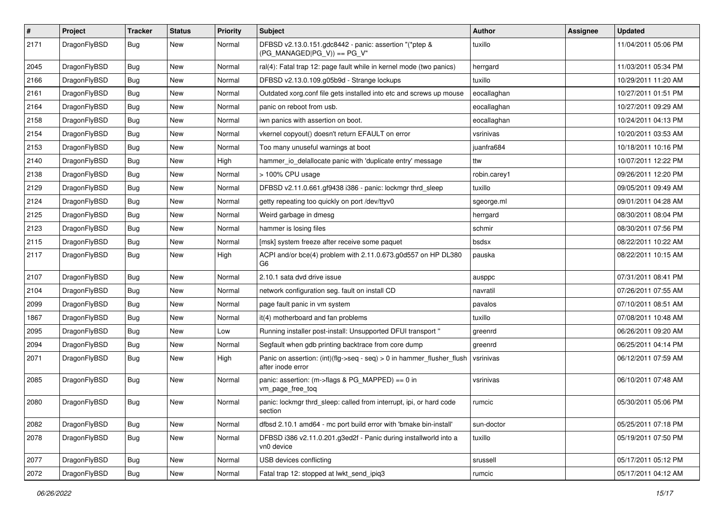| #    | Project      | <b>Tracker</b> | <b>Status</b> | <b>Priority</b> | Subject                                                                                    | Author       | <b>Assignee</b> | <b>Updated</b>      |
|------|--------------|----------------|---------------|-----------------|--------------------------------------------------------------------------------------------|--------------|-----------------|---------------------|
| 2171 | DragonFlyBSD | Bug            | New           | Normal          | DFBSD v2.13.0.151.gdc8442 - panic: assertion "(*ptep &<br>(PG MANAGED PG V)) == PG V"      | tuxillo      |                 | 11/04/2011 05:06 PM |
| 2045 | DragonFlyBSD | <b>Bug</b>     | <b>New</b>    | Normal          | ral(4): Fatal trap 12: page fault while in kernel mode (two panics)                        | herrgard     |                 | 11/03/2011 05:34 PM |
| 2166 | DragonFlyBSD | Bug            | New           | Normal          | DFBSD v2.13.0.109.g05b9d - Strange lockups                                                 | tuxillo      |                 | 10/29/2011 11:20 AM |
| 2161 | DragonFlyBSD | <b>Bug</b>     | New           | Normal          | Outdated xorg.conf file gets installed into etc and screws up mouse                        | eocallaghan  |                 | 10/27/2011 01:51 PM |
| 2164 | DragonFlyBSD | <b>Bug</b>     | New           | Normal          | panic on reboot from usb.                                                                  | eocallaghan  |                 | 10/27/2011 09:29 AM |
| 2158 | DragonFlyBSD | <b>Bug</b>     | <b>New</b>    | Normal          | iwn panics with assertion on boot.                                                         | eocallaghan  |                 | 10/24/2011 04:13 PM |
| 2154 | DragonFlyBSD | <b>Bug</b>     | New           | Normal          | vkernel copyout() doesn't return EFAULT on error                                           | vsrinivas    |                 | 10/20/2011 03:53 AM |
| 2153 | DragonFlyBSD | Bug            | New           | Normal          | Too many unuseful warnings at boot                                                         | juanfra684   |                 | 10/18/2011 10:16 PM |
| 2140 | DragonFlyBSD | Bug            | <b>New</b>    | High            | hammer_io_delallocate panic with 'duplicate entry' message                                 | ttw          |                 | 10/07/2011 12:22 PM |
| 2138 | DragonFlyBSD | <b>Bug</b>     | New           | Normal          | > 100% CPU usage                                                                           | robin.carey1 |                 | 09/26/2011 12:20 PM |
| 2129 | DragonFlyBSD | Bug            | <b>New</b>    | Normal          | DFBSD v2.11.0.661.gf9438 i386 - panic: lockmgr thrd_sleep                                  | tuxillo      |                 | 09/05/2011 09:49 AM |
| 2124 | DragonFlyBSD | Bug            | New           | Normal          | getty repeating too quickly on port /dev/ttyv0                                             | sgeorge.ml   |                 | 09/01/2011 04:28 AM |
| 2125 | DragonFlyBSD | Bug            | <b>New</b>    | Normal          | Weird garbage in dmesg                                                                     | herrgard     |                 | 08/30/2011 08:04 PM |
| 2123 | DragonFlyBSD | <b>Bug</b>     | New           | Normal          | hammer is losing files                                                                     | schmir       |                 | 08/30/2011 07:56 PM |
| 2115 | DragonFlyBSD | <b>Bug</b>     | New           | Normal          | [msk] system freeze after receive some paquet                                              | bsdsx        |                 | 08/22/2011 10:22 AM |
| 2117 | DragonFlyBSD | Bug            | New           | High            | ACPI and/or bce(4) problem with 2.11.0.673.g0d557 on HP DL380<br>G <sub>6</sub>            | pauska       |                 | 08/22/2011 10:15 AM |
| 2107 | DragonFlyBSD | <b>Bug</b>     | New           | Normal          | 2.10.1 sata dvd drive issue                                                                | ausppc       |                 | 07/31/2011 08:41 PM |
| 2104 | DragonFlyBSD | Bug            | <b>New</b>    | Normal          | network configuration seg. fault on install CD                                             | navratil     |                 | 07/26/2011 07:55 AM |
| 2099 | DragonFlyBSD | <b>Bug</b>     | New           | Normal          | page fault panic in vm system                                                              | pavalos      |                 | 07/10/2011 08:51 AM |
| 1867 | DragonFlyBSD | Bug            | New           | Normal          | it(4) motherboard and fan problems                                                         | tuxillo      |                 | 07/08/2011 10:48 AM |
| 2095 | DragonFlyBSD | <b>Bug</b>     | New           | Low             | Running installer post-install: Unsupported DFUI transport "                               | greenrd      |                 | 06/26/2011 09:20 AM |
| 2094 | DragonFlyBSD | <b>Bug</b>     | New           | Normal          | Segfault when gdb printing backtrace from core dump                                        | greenrd      |                 | 06/25/2011 04:14 PM |
| 2071 | DragonFlyBSD | Bug            | New           | High            | Panic on assertion: (int)(flg->seq - seq) > 0 in hammer_flusher_flush<br>after inode error | vsrinivas    |                 | 06/12/2011 07:59 AM |
| 2085 | DragonFlyBSD | Bug            | New           | Normal          | panic: assertion: (m->flags & PG_MAPPED) == 0 in<br>vm_page_free_toq                       | vsrinivas    |                 | 06/10/2011 07:48 AM |
| 2080 | DragonFlyBSD | Bug            | New           | Normal          | panic: lockmgr thrd sleep: called from interrupt, ipi, or hard code<br>section             | rumcic       |                 | 05/30/2011 05:06 PM |
| 2082 | DragonFlyBSD | <b>Bug</b>     | New           | Normal          | dfbsd 2.10.1 amd64 - mc port build error with 'bmake bin-install'                          | sun-doctor   |                 | 05/25/2011 07:18 PM |
| 2078 | DragonFlyBSD | <b>Bug</b>     | New           | Normal          | DFBSD i386 v2.11.0.201.g3ed2f - Panic during installworld into a<br>vn0 device             | tuxillo      |                 | 05/19/2011 07:50 PM |
| 2077 | DragonFlyBSD | <b>Bug</b>     | New           | Normal          | USB devices conflicting                                                                    | srussell     |                 | 05/17/2011 05:12 PM |
| 2072 | DragonFlyBSD | <b>Bug</b>     | New           | Normal          | Fatal trap 12: stopped at lwkt_send_ipiq3                                                  | rumcic       |                 | 05/17/2011 04:12 AM |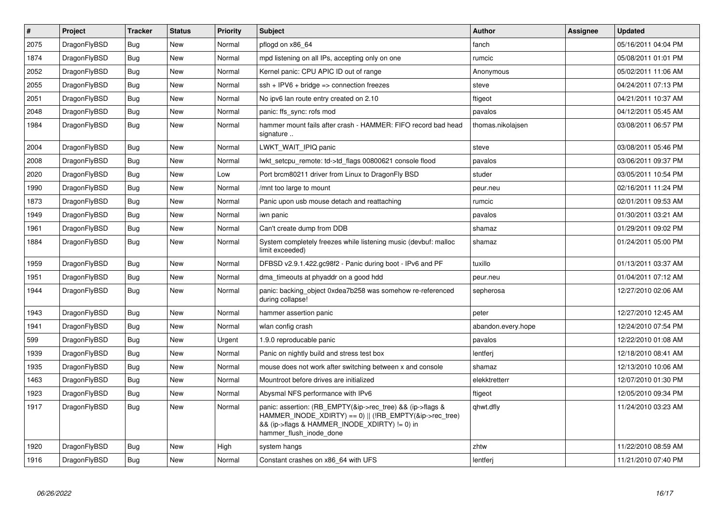| $\vert$ # | Project      | <b>Tracker</b> | <b>Status</b> | Priority | <b>Subject</b>                                                                                                                                                                                    | Author             | Assignee | <b>Updated</b>      |
|-----------|--------------|----------------|---------------|----------|---------------------------------------------------------------------------------------------------------------------------------------------------------------------------------------------------|--------------------|----------|---------------------|
| 2075      | DragonFlyBSD | <b>Bug</b>     | <b>New</b>    | Normal   | pflogd on x86 64                                                                                                                                                                                  | fanch              |          | 05/16/2011 04:04 PM |
| 1874      | DragonFlyBSD | Bug            | <b>New</b>    | Normal   | mpd listening on all IPs, accepting only on one                                                                                                                                                   | rumcic             |          | 05/08/2011 01:01 PM |
| 2052      | DragonFlyBSD | <b>Bug</b>     | <b>New</b>    | Normal   | Kernel panic: CPU APIC ID out of range                                                                                                                                                            | Anonymous          |          | 05/02/2011 11:06 AM |
| 2055      | DragonFlyBSD | Bug            | New           | Normal   | $ssh + IPV6 + bridge \Rightarrow$ connection freezes                                                                                                                                              | steve              |          | 04/24/2011 07:13 PM |
| 2051      | DragonFlyBSD | <b>Bug</b>     | <b>New</b>    | Normal   | No ipv6 lan route entry created on 2.10                                                                                                                                                           | ftigeot            |          | 04/21/2011 10:37 AM |
| 2048      | DragonFlyBSD | Bug            | <b>New</b>    | Normal   | panic: ffs sync: rofs mod                                                                                                                                                                         | pavalos            |          | 04/12/2011 05:45 AM |
| 1984      | DragonFlyBSD | <b>Bug</b>     | <b>New</b>    | Normal   | hammer mount fails after crash - HAMMER: FIFO record bad head<br>signature                                                                                                                        | thomas.nikolajsen  |          | 03/08/2011 06:57 PM |
| 2004      | DragonFlyBSD | <b>Bug</b>     | <b>New</b>    | Normal   | LWKT_WAIT_IPIQ panic                                                                                                                                                                              | steve              |          | 03/08/2011 05:46 PM |
| 2008      | DragonFlyBSD | <b>Bug</b>     | New           | Normal   | lwkt setcpu remote: td->td flags 00800621 console flood                                                                                                                                           | pavalos            |          | 03/06/2011 09:37 PM |
| 2020      | DragonFlyBSD | <b>Bug</b>     | <b>New</b>    | Low      | Port brcm80211 driver from Linux to DragonFly BSD                                                                                                                                                 | studer             |          | 03/05/2011 10:54 PM |
| 1990      | DragonFlyBSD | Bug            | New           | Normal   | /mnt too large to mount                                                                                                                                                                           | peur.neu           |          | 02/16/2011 11:24 PM |
| 1873      | DragonFlyBSD | Bug            | New           | Normal   | Panic upon usb mouse detach and reattaching                                                                                                                                                       | rumcic             |          | 02/01/2011 09:53 AM |
| 1949      | DragonFlyBSD | <b>Bug</b>     | New           | Normal   | iwn panic                                                                                                                                                                                         | pavalos            |          | 01/30/2011 03:21 AM |
| 1961      | DragonFlyBSD | Bug            | New           | Normal   | Can't create dump from DDB                                                                                                                                                                        | shamaz             |          | 01/29/2011 09:02 PM |
| 1884      | DragonFlyBSD | Bug            | New           | Normal   | System completely freezes while listening music (devbuf: malloc<br>limit exceeded)                                                                                                                | shamaz             |          | 01/24/2011 05:00 PM |
| 1959      | DragonFlyBSD | <b>Bug</b>     | New           | Normal   | DFBSD v2.9.1.422.gc98f2 - Panic during boot - IPv6 and PF                                                                                                                                         | tuxillo            |          | 01/13/2011 03:37 AM |
| 1951      | DragonFlyBSD | Bug            | New           | Normal   | dma timeouts at phyaddr on a good hdd                                                                                                                                                             | peur.neu           |          | 01/04/2011 07:12 AM |
| 1944      | DragonFlyBSD | <b>Bug</b>     | New           | Normal   | panic: backing object 0xdea7b258 was somehow re-referenced<br>during collapse!                                                                                                                    | sepherosa          |          | 12/27/2010 02:06 AM |
| 1943      | DragonFlyBSD | <b>Bug</b>     | New           | Normal   | hammer assertion panic                                                                                                                                                                            | peter              |          | 12/27/2010 12:45 AM |
| 1941      | DragonFlyBSD | Bug            | New           | Normal   | wlan config crash                                                                                                                                                                                 | abandon.every.hope |          | 12/24/2010 07:54 PM |
| 599       | DragonFlyBSD | <b>Bug</b>     | New           | Urgent   | 1.9.0 reproducable panic                                                                                                                                                                          | pavalos            |          | 12/22/2010 01:08 AM |
| 1939      | DragonFlyBSD | Bug            | <b>New</b>    | Normal   | Panic on nightly build and stress test box                                                                                                                                                        | lentferi           |          | 12/18/2010 08:41 AM |
| 1935      | DragonFlyBSD | Bug            | <b>New</b>    | Normal   | mouse does not work after switching between x and console                                                                                                                                         | shamaz             |          | 12/13/2010 10:06 AM |
| 1463      | DragonFlyBSD | Bug            | <b>New</b>    | Normal   | Mountroot before drives are initialized                                                                                                                                                           | elekktretterr      |          | 12/07/2010 01:30 PM |
| 1923      | DragonFlyBSD | <b>Bug</b>     | <b>New</b>    | Normal   | Abysmal NFS performance with IPv6                                                                                                                                                                 | ftigeot            |          | 12/05/2010 09:34 PM |
| 1917      | DragonFlyBSD | <b>Bug</b>     | <b>New</b>    | Normal   | panic: assertion: (RB EMPTY(&ip->rec tree) && (ip->flags &<br>HAMMER_INODE_XDIRTY) == 0)    (!RB_EMPTY(&ip->rec_tree)<br>&& (ip->flags & HAMMER_INODE_XDIRTY) != 0) in<br>hammer_flush_inode_done | qhwt.dfly          |          | 11/24/2010 03:23 AM |
| 1920      | DragonFlyBSD | Bug            | New           | High     | system hangs                                                                                                                                                                                      | zhtw               |          | 11/22/2010 08:59 AM |
| 1916      | DragonFlyBSD | Bug            | <b>New</b>    | Normal   | Constant crashes on x86_64 with UFS                                                                                                                                                               | lentferj           |          | 11/21/2010 07:40 PM |